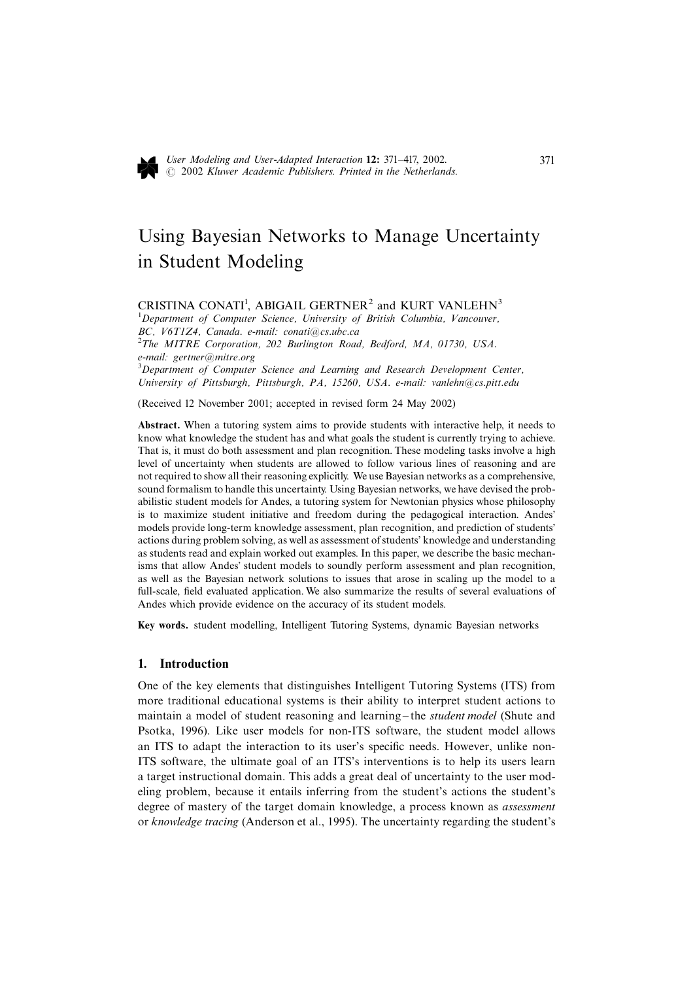

User Modeling and User-Adapted Interaction 12: 371-417, 2002. 371  $\odot$  2002 Kluwer Academic Publishers. Printed in the Netherlands.

# Using Bayesian Networks to Manage Uncertainty in Student Modeling

# CRISTINA CONATI<sup>1</sup>, ABIGAIL GERTNER<sup>2</sup> and KURT VANLEHN<sup>3</sup>

<sup>1</sup>Department of Computer Science, University of British Columbia, Vancouver, BC, V6T1Z4, Canada. e-mail: conati@cs.ubc.ca <sup>2</sup>The MITRE Corporation, 202 Burlington Road, Bedford, MA, 01730, USA. e-mail: gertner@mitre.org  $3$ Department of Computer Science and Learning and Research Development Center, University of Pittsburgh, Pittsburgh, PA, 15260, USA. e-mail: vanlehn@cs.pitt.edu

(Received 12 November 2001; accepted in revised form 24 May 2002)

Abstract. When a tutoring system aims to provide students with interactive help, it needs to know what knowledge the student has and what goals the student is currently trying to achieve. That is, it must do both assessment and plan recognition. These modeling tasks involve a high level of uncertainty when students are allowed to follow various lines of reasoning and are not required to show all their reasoning explicitly. We use Bayesian networks as a comprehensive, sound formalism to handle this uncertainty. Using Bayesian networks, we have devised the probabilistic student models for Andes, a tutoring system for Newtonian physics whose philosophy is to maximize student initiative and freedom during the pedagogical interaction. Andes' models provide long-term knowledge assessment, plan recognition, and prediction of students' actions during problem solving, as well as assessment of students' knowledge and understanding as students read and explain worked out examples. In this paper, we describe the basic mechanisms that allow Andes' student models to soundly perform assessment and plan recognition, as well as the Bayesian network solutions to issues that arose in scaling up the model to a full-scale, field evaluated application. We also summarize the results of several evaluations of Andes which provide evidence on the accuracy of its student models.

Key words. student modelling, Intelligent Tutoring Systems, dynamic Bayesian networks

### 1. Introduction

One of the key elements that distinguishes Intelligent Tutoring Systems (ITS) from more traditional educational systems is their ability to interpret student actions to maintain a model of student reasoning and learning – the *student model* (Shute and Psotka, 1996). Like user models for non-ITS software, the student model allows an ITS to adapt the interaction to its user's specific needs. However, unlike non-ITS software, the ultimate goal of an ITS's interventions is to help its users learn a target instructional domain. This adds a great deal of uncertainty to the user modeling problem, because it entails inferring from the student's actions the student's degree of mastery of the target domain knowledge, a process known as assessment or knowledge tracing (Anderson et al., 1995). The uncertainty regarding the student's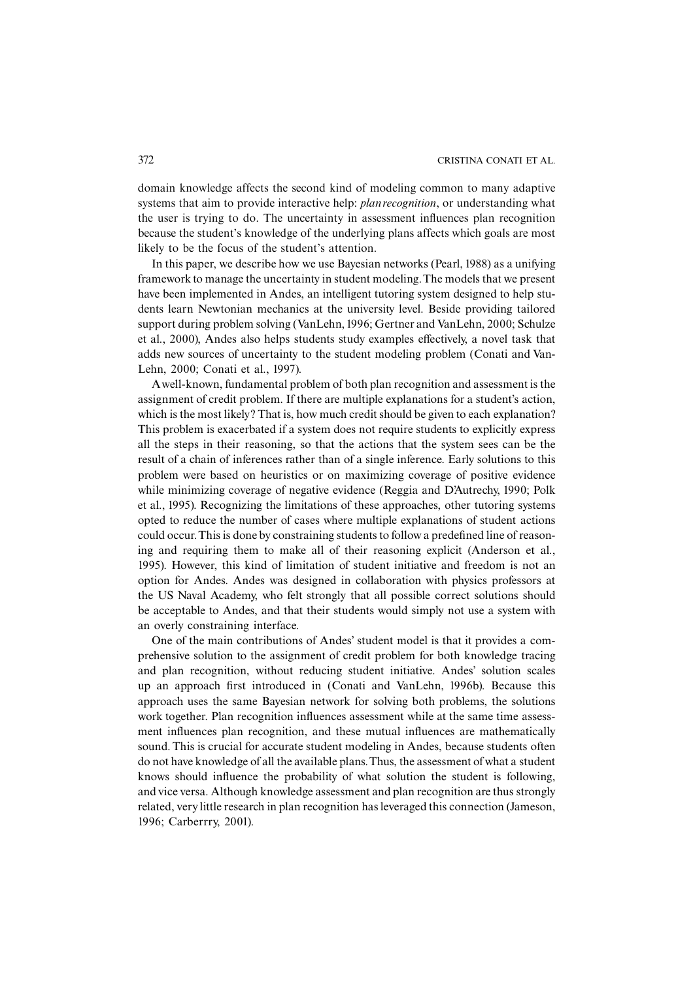domain knowledge affects the second kind of modeling common to many adaptive systems that aim to provide interactive help: *plan recognition*, or understanding what the user is trying to do. The uncertainty in assessment influences plan recognition because the student's knowledge of the underlying plans affects which goals are most likely to be the focus of the student's attention.

In this paper, we describe how we use Bayesian networks (Pearl, 1988) as a unifying framework to manage the uncertainty in student modeling.The models that we present have been implemented in Andes, an intelligent tutoring system designed to help students learn Newtonian mechanics at the university level. Beside providing tailored support during problem solving (VanLehn, 1996; Gertner and VanLehn, 2000; Schulze et al., 2000), Andes also helps students study examples effectively, a novel task that adds new sources of uncertainty to the student modeling problem (Conati and Van-Lehn, 2000; Conati et al., 1997).

Awell-known, fundamental problem of both plan recognition and assessment is the assignment of credit problem. If there are multiple explanations for a student's action, which is the most likely? That is, how much credit should be given to each explanation? This problem is exacerbated if a system does not require students to explicitly express all the steps in their reasoning, so that the actions that the system sees can be the result of a chain of inferences rather than of a single inference. Early solutions to this problem were based on heuristics or on maximizing coverage of positive evidence while minimizing coverage of negative evidence (Reggia and D'Autrechy, 1990; Polk et al., 1995). Recognizing the limitations of these approaches, other tutoring systems opted to reduce the number of cases where multiple explanations of student actions could occur. This is done by constraining students to follow a predefined line of reasoning and requiring them to make all of their reasoning explicit (Anderson et al., 1995). However, this kind of limitation of student initiative and freedom is not an option forAndes. Andes was designed in collaboration with physics professors at the US Naval Academy, who felt strongly that all possible correct solutions should be acceptable to Andes, and that their students would simply not use a system with an overly constraining interface.

One of the main contributions of Andes' student model is that it provides a comprehensive solution to the assignment of credit problem for both knowledge tracing and plan recognition, without reducing student initiative. Andes' solution scales up an approach ¢rst introduced in (Conati and VanLehn, 1996b). Because this approach uses the same Bayesian network for solving both problems, the solutions work together. Plan recognition influences assessment while at the same time assessment influences plan recognition, and these mutual influences are mathematically sound. This is crucial for accurate student modeling in Andes, because students often do not have knowledge of all the available plans.Thus, the assessment of what a student knows should influence the probability of what solution the student is following, and vice versa. Although knowledge assessment and plan recognition are thus strongly related, very little research in plan recognition has leveraged this connection (Jameson, 1996; Carberrry, 2001).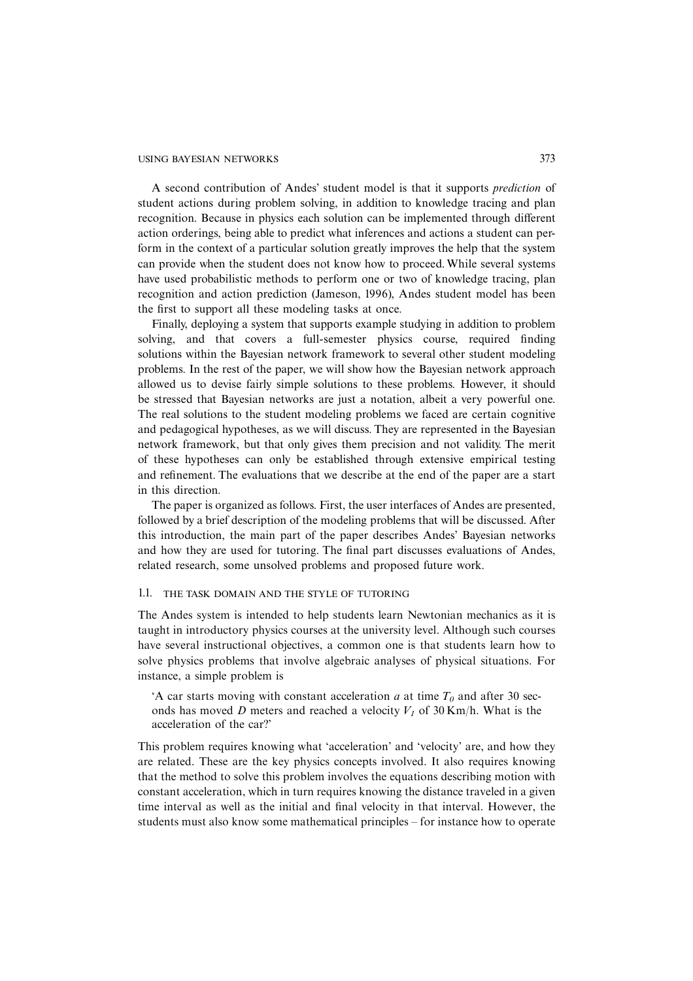A second contribution of Andes' student model is that it supports prediction of student actions during problem solving, in addition to knowledge tracing and plan recognition. Because in physics each solution can be implemented through different action orderings, being able to predict what inferences and actions a student can perform in the context of a particular solution greatly improves the help that the system can provide when the student does not know how to proceed.While several systems have used probabilistic methods to perform one or two of knowledge tracing, plan recognition and action prediction (Jameson, 1996), Andes student model has been the first to support all these modeling tasks at once.

Finally, deploying a system that supports example studying in addition to problem solving, and that covers a full-semester physics course, required finding solutions within the Bayesian network framework to several other student modeling problems. In the rest of the paper, we will show how the Bayesian network approach allowed us to devise fairly simple solutions to these problems. However, it should be stressed that Bayesian networks are just a notation, albeit a very powerful one. The real solutions to the student modeling problems we faced are certain cognitive and pedagogical hypotheses, as we will discuss. They are represented in the Bayesian network framework, but that only gives them precision and not validity. The merit of these hypotheses can only be established through extensive empirical testing and refinement. The evaluations that we describe at the end of the paper are a start in this direction.

The paper is organized as follows. First, the user interfaces of Andes are presented, followed by a brief description of the modeling problems that will be discussed. After this introduction, the main part of the paper describes Andes' Bayesian networks and how they are used for tutoring. The final part discusses evaluations of Andes, related research, some unsolved problems and proposed future work.

### 1.1. THE TASK DOMAIN AND THE STYLE OF TUTORING

The Andes system is intended to help students learn Newtonian mechanics as it is taught in introductory physics courses at the university level. Although such courses have several instructional objectives, a common one is that students learn how to solve physics problems that involve algebraic analyses of physical situations. For instance, a simple problem is

'A car starts moving with constant acceleration a at time  $T_0$  and after 30 seconds has moved D meters and reached a velocity  $V_I$  of 30 Km/h. What is the acceleration of the car?'

This problem requires knowing what 'acceleration' and 'velocity' are, and how they are related. These are the key physics concepts involved. It also requires knowing that the method to solve this problem involves the equations describing motion with constant acceleration, which in turn requires knowing the distance traveled in a given time interval as well as the initial and final velocity in that interval. However, the students must also know some mathematical principles – for instance how to operate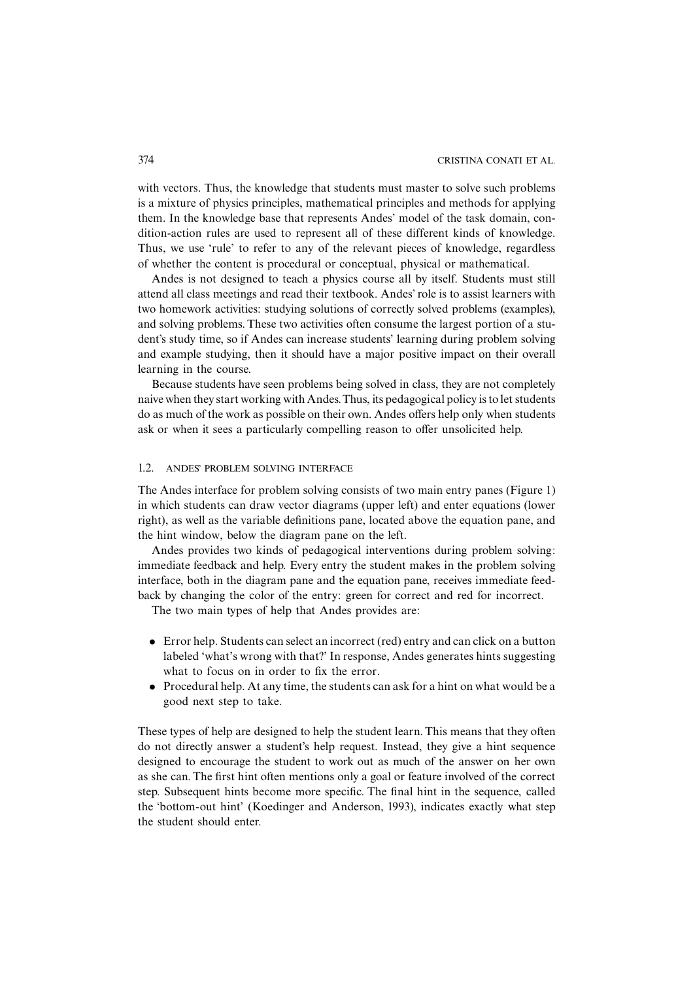with vectors. Thus, the knowledge that students must master to solve such problems is a mixture of physics principles, mathematical principles and methods for applying them. In the knowledge base that represents Andes' model of the task domain, condition-action rules are used to represent all of these different kinds of knowledge. Thus, we use 'rule' to refer to any of the relevant pieces of knowledge, regardless of whether the content is procedural or conceptual, physical or mathematical.

Andes is not designed to teach a physics course all by itself. Students must still attend all class meetings and read their textbook. Andes' role is to assist learners with two homework activities: studying solutions of correctly solved problems (examples), and solving problems. These two activities often consume the largest portion of a student's study time, so if Andes can increase students' learning during problem solving and example studying, then it should have a major positive impact on their overall learning in the course.

Because students have seen problems being solved in class, they are not completely naive when they start working with Andes.Thus, its pedagogical policy is to let students do as much of the work as possible on their own. Andes offers help only when students ask or when it sees a particularly compelling reason to offer unsolicited help.

### 1.2. ANDES' PROBLEM SOLVING INTERFACE

The Andes interface for problem solving consists of two main entry panes (Figure 1) in which students can draw vector diagrams (upper left) and enter equations (lower right), as well as the variable definitions pane, located above the equation pane, and the hint window, below the diagram pane on the left.

Andes provides two kinds of pedagogical interventions during problem solving: immediate feedback and help. Every entry the student makes in the problem solving interface, both in the diagram pane and the equation pane, receives immediate feedback by changing the color of the entry: green for correct and red for incorrect.

The two main types of help that Andes provides are:

- . Error help. Students can select an incorrect (red) entry and can click on a button labeled 'what's wrong with that?' In response, Andes generates hints suggesting what to focus on in order to fix the error.
- . Procedural help. At any time, the students can ask for a hint on what would be a good next step to take.

These types of help are designed to help the student learn. This means that they often do not directly answer a student's help request. Instead, they give a hint sequence designed to encourage the student to work out as much of the answer on her own as she can. The first hint often mentions only a goal or feature involved of the correct step. Subsequent hints become more specific. The final hint in the sequence, called the 'bottom-out hint' (Koedingerand Anderson, 1993), indicates exactly what step the student should enter.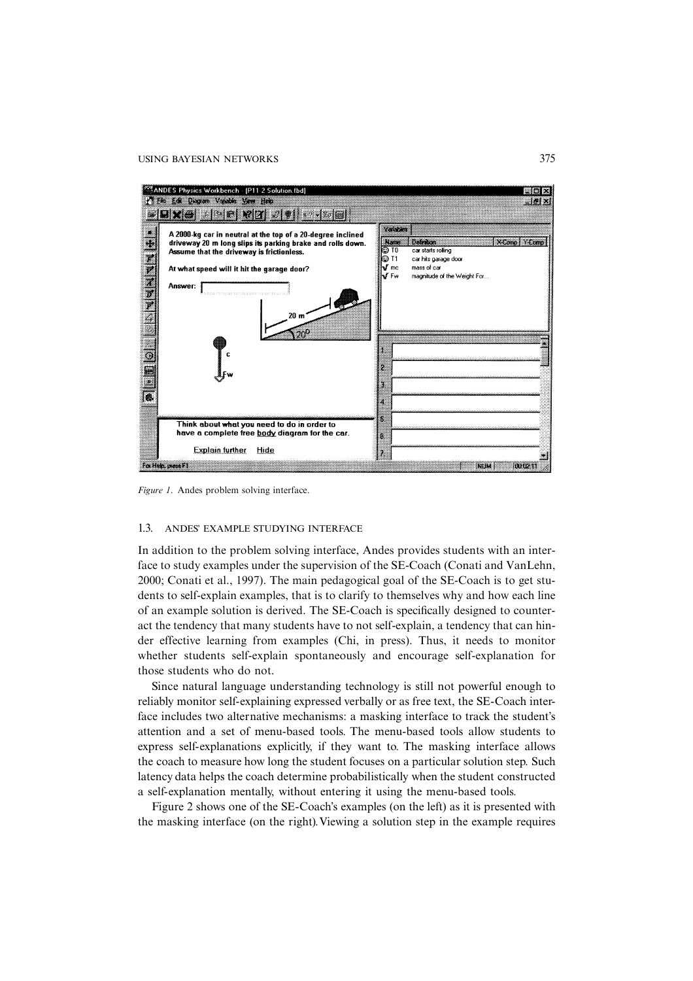

Figure 1. Andes problem solving interface.

### 1.3. ANDES' EXAMPLE STUDYING INTERFACE

In addition to the problem solving interface, Andes provides students with an interface to study examples under the supervision of the SE-Coach (Conati and VanLehn, 2000; Conati et al., 1997). The main pedagogical goal of the SE-Coach is to get students to self-explain examples, that is to clarify to themselves why and how each line of an example solution is derived. The SE-Coach is specifically designed to counteract the tendency that many students have to not self-explain, a tendency that can hinder effective learning from examples (Chi, in press). Thus, it needs to monitor whether students self-explain spontaneously and encourage self-explanation for those students who do not.

Since natural language understanding technology is still not powerful enough to reliably monitor self-explaining expressed verbally or as free text, the SE-Coach interface includes two alternative mechanisms: a masking interface to track the student's attention and a set of menu-based tools. The menu-based tools allow students to express self-explanations explicitly, if they want to. The masking interface allows the coach to measure how long the student focuses on a particular solution step. Such latency data helps the coach determine probabilistically when the student constructed a self-explanation mentally, without entering it using the menu-based tools.

Figure 2 shows one of the SE-Coach's examples (on the left) as it is presented with the masking interface (on the right).Viewing a solution step in the example requires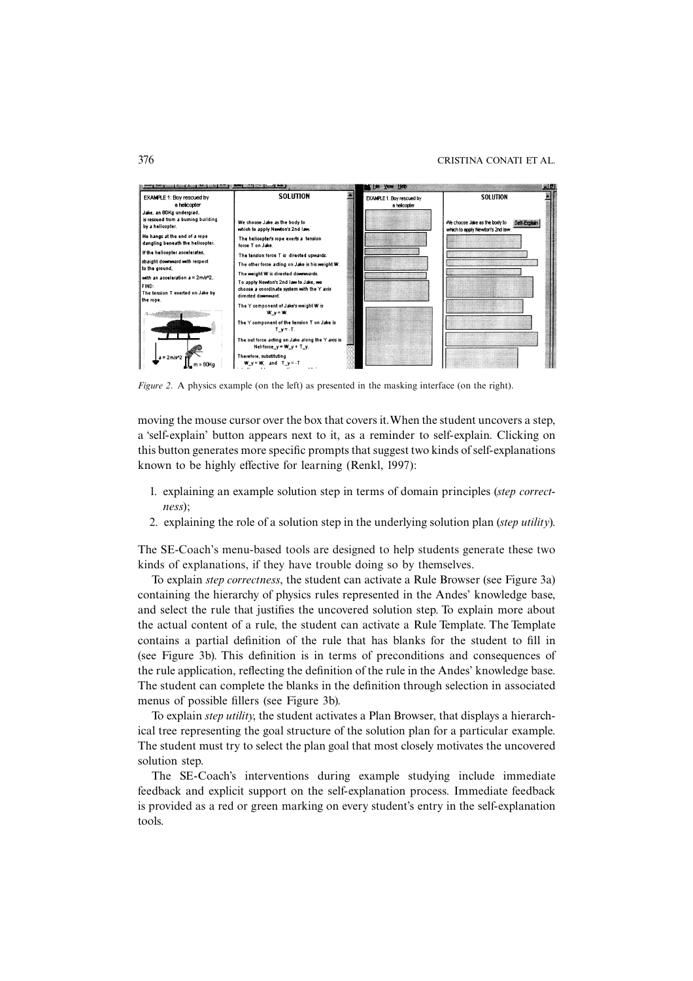

Figure 2. A physics example (on the left) as presented in the masking interface (on the right).

moving the mouse cursor over the box that covers it.When the student uncovers a step, a 'self-explain' button appears next to it, as a reminder to self-explain. Clicking on this button generates more specific prompts that suggest two kinds of self-explanations known to be highly effective for learning (Renkl, 1997):

- 1. explaining an example solution step in terms of domain principles (step correctness);
- 2. explaining the role of a solution step in the underlying solution plan (step utility).

The SE-Coach's menu-based tools are designed to help students generate these two kinds of explanations, if they have trouble doing so by themselves.

To explain step correctness, the student can activate a Rule Browser (see Figure 3a) containing the hierarchy of physics rules represented in the Andes' knowledge base, and select the rule that justifies the uncovered solution step. To explain more about the actual content of a rule, the student can activate a Rule Template. The Template contains a partial definition of the rule that has blanks for the student to fill in (see Figure 3b). This definition is in terms of preconditions and consequences of the rule application, reflecting the definition of the rule in the Andes' knowledge base. The student can complete the blanks in the definition through selection in associated menus of possible fillers (see Figure 3b).

To explain *step utility*, the student activates a Plan Browser, that displays a hierarchical tree representing the goal structure of the solution plan for a particular example. The student must try to select the plan goal that most closely motivates the uncovered solution step.

The SE-Coach's interventions during example studying include immediate feedback and explicit support on the self-explanation process. Immediate feedback is provided as a red or green marking on every student's entry in the self-explanation tools.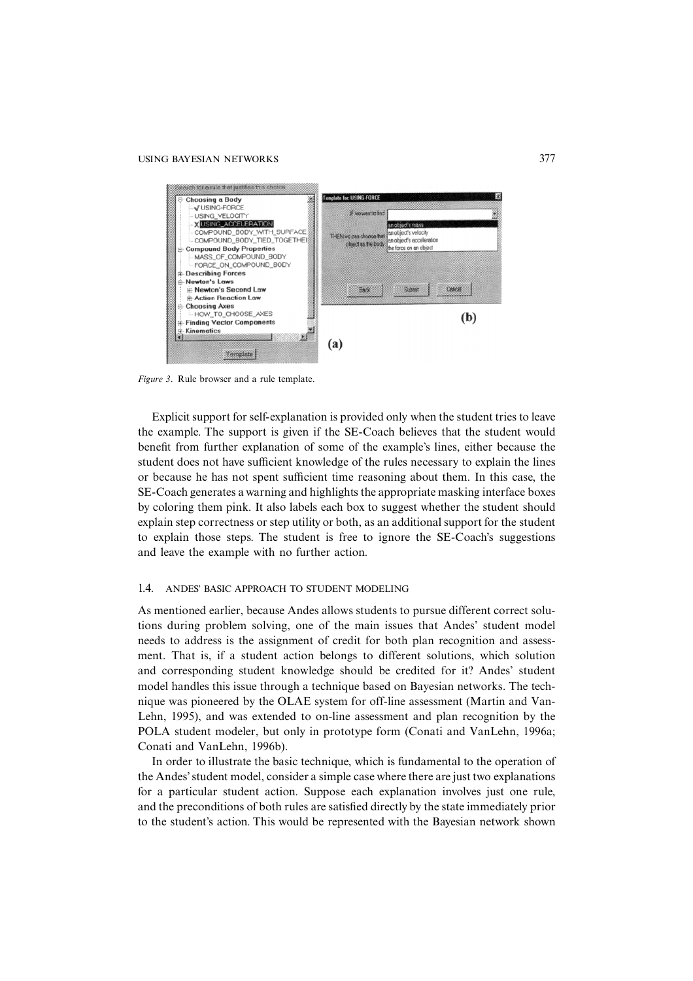

Figure 3. Rule browser and a rule template.

Explicit support for self-explanation is provided only when the student tries to leave the example. The support is given if the SE-Coach believes that the student would benefit from further explanation of some of the example's lines, either because the student does not have sufficient knowledge of the rules necessary to explain the lines or because he has not spent sufficient time reasoning about them. In this case, the SE-Coach generates a warning and highlights the appropriate masking interface boxes by coloring them pink. It also labels each box to suggest whether the student should explain step correctness or step utility or both, as an additional support for the student to explain those steps. The student is free to ignore the SE-Coach's suggestions and leave the example with no further action.

### 1.4. ANDES' BASIC APPROACH TO STUDENT MODELING

As mentioned earlier, because Andes allows students to pursue different correct solutions during problem solving, one of the main issues that Andes' student model needs to address is the assignment of credit for both plan recognition and assessment. That is, if a student action belongs to different solutions, which solution and corresponding student knowledge should be credited for it? Andes' student model handles this issue through a technique based on Bayesian networks. The technique was pioneered by the OLAE system for off-line assessment (Martin and Van-Lehn, 1995), and was extended to on-line assessment and plan recognition by the POLA student modeler, but only in prototype form (Conati and VanLehn, 1996a; Conati and VanLehn, 1996b).

In order to illustrate the basic technique, which is fundamental to the operation of the Andes' student model, consider a simple case where there are just two explanations for a particular student action. Suppose each explanation involves just one rule, and the preconditions of both rules are satisfied directly by the state immediately prior to the student's action. This would be represented with the Bayesian network shown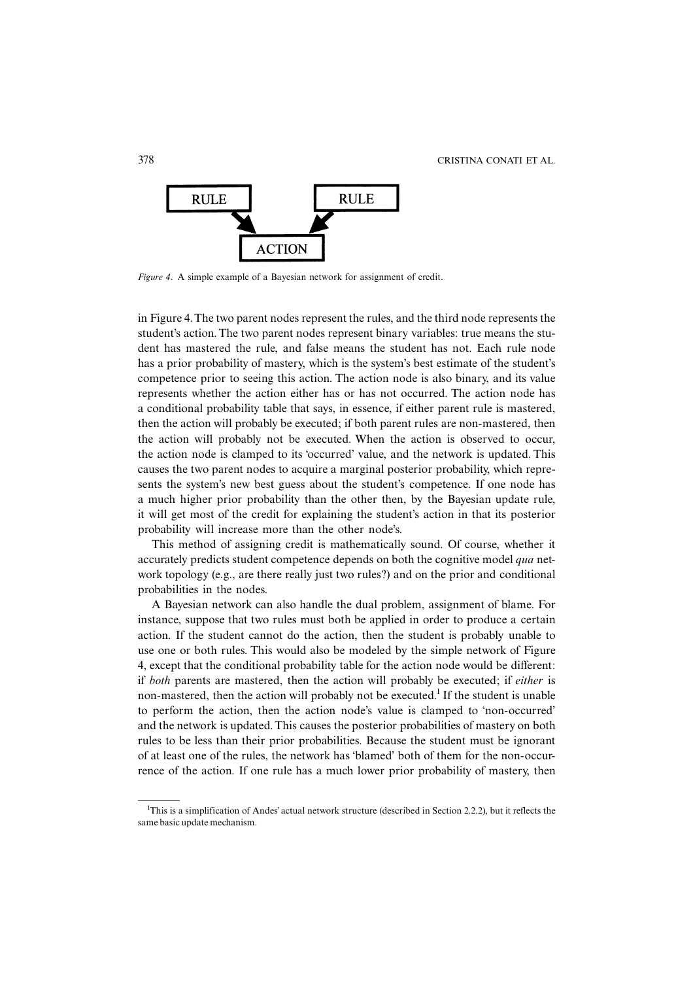

Figure 4. A simple example of a Bayesian network for assignment of credit.

in Figure 4.The two parent nodes represent the rules, and the third node represents the student's action. The two parent nodes represent binary variables: true means the student has mastered the rule, and false means the student has not. Each rule node has a prior probability of mastery, which is the system's best estimate of the student's competence prior to seeing this action. The action node is also binary, and its value represents whether the action either has or has not occurred. The action node has a conditional probability table that says, in essence, if either parent rule is mastered, then the action will probably be executed; if both parent rules are non-mastered, then the action will probably not be executed. When the action is observed to occur, the action node is clamped to its 'occurred' value, and the network is updated. This causes the two parent nodes to acquire a marginal posterior probability, which represents the system's new best guess about the student's competence. If one node has a much higher prior probability than the other then, by the Bayesian update rule, it will get most of the credit for explaining the student's action in that its posterior probability will increase more than the other node's.

This method of assigning credit is mathematically sound. Of course, whether it accurately predicts student competence depends on both the cognitive model qua network topology (e.g., are there really just two rules?) and on the prior and conditional probabilities in the nodes.

A Bayesian network can also handle the dual problem, assignment of blame. For instance, suppose that two rules must both be applied in order to produce a certain action. If the student cannot do the action, then the student is probably unable to use one or both rules. This would also be modeled by the simple network of Figure 4, except that the conditional probability table for the action node would be different: if both parents are mastered, then the action will probably be executed; if either is non-mastered, then the action will probably not be executed.<sup>1</sup> If the student is unable to perform the action, then the action node's value is clamped to 'non-occurred' and the network is updated. This causes the posterior probabilities of mastery on both rules to be less than their prior probabilities. Because the student must be ignorant of at least one of the rules, the network has 'blamed' both of them for the non-occurrence of the action. If one rule has a much lower prior probability of mastery, then

<sup>&</sup>lt;sup>1</sup>This is a simplification of Andes' actual network structure (described in Section 2.2.2), but it reflects the same basic update mechanism.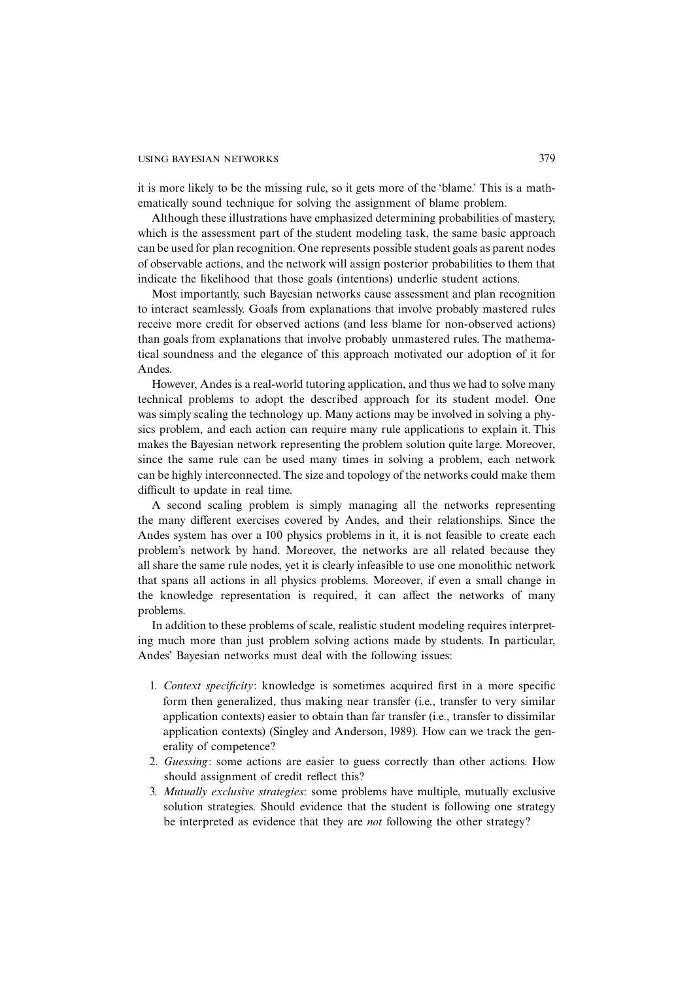it is more likely to be the missing rule, so it gets more of the 'blame.' This is a mathematically sound technique for solving the assignment of blame problem.

Although these illustrations have emphasized determining probabilities of mastery, which is the assessment part of the student modeling task, the same basic approach can be used for plan recognition. One represents possible student goals as parent nodes of observable actions, and the network will assign posterior probabilities to them that indicate the likelihood that those goals (intentions) underlie student actions.

Most importantly, such Bayesian networks cause assessment and plan recognition to interact seamlessly. Goals from explanations that involve probably mastered rules receive more credit for observed actions (and less blame for non-observed actions) than goals from explanations that involve probably unmastered rules. The mathematical soundness and the elegance of this approach motivated our adoption of it for Andes.

However, Andes is a real-world tutoring application, and thus we had to solve many technical problems to adopt the described approach for its student model. One was simply scaling the technology up. Many actions may be involved in solving a physics problem, and each action can require many rule applications to explain it. This makes the Bayesian network representing the problem solution quite large. Moreover, since the same rule can be used many times in solving a problem, each network can be highly interconnected. The size and topology of the networks could make them difficult to update in real time.

A second scaling problem is simply managing all the networks representing the many different exercises covered by Andes, and their relationships. Since the Andes system has overa 100 physics problems in it, it is not feasible to create each problem's network by hand. Moreover, the networks are all related because they all share the same rule nodes, yet it is clearly infeasible to use one monolithic network that spans all actions in all physics problems. Moreover, if even a small change in the knowledge representation is required, it can affect the networks of many problems.

In addition to these problems of scale, realistic student modeling requires interpreting much more than just problem solving actions made by students. In particular, Andes' Bayesian networks must deal with the following issues:

- 1. Context specificity: knowledge is sometimes acquired first in a more specific form then generalized, thus making near transfer (i.e., transfer to very similar application contexts) easier to obtain than far transfer (i.e., transfer to dissimilar application contexts) (Singley and Anderson, 1989). How can we track the generality of competence?
- 2. Guessing: some actions are easier to guess correctly than other actions. How should assignment of credit reflect this?
- 3. Mutually exclusive strategies: some problems have multiple, mutually exclusive solution strategies. Should evidence that the student is following one strategy be interpreted as evidence that they are *not* following the other strategy?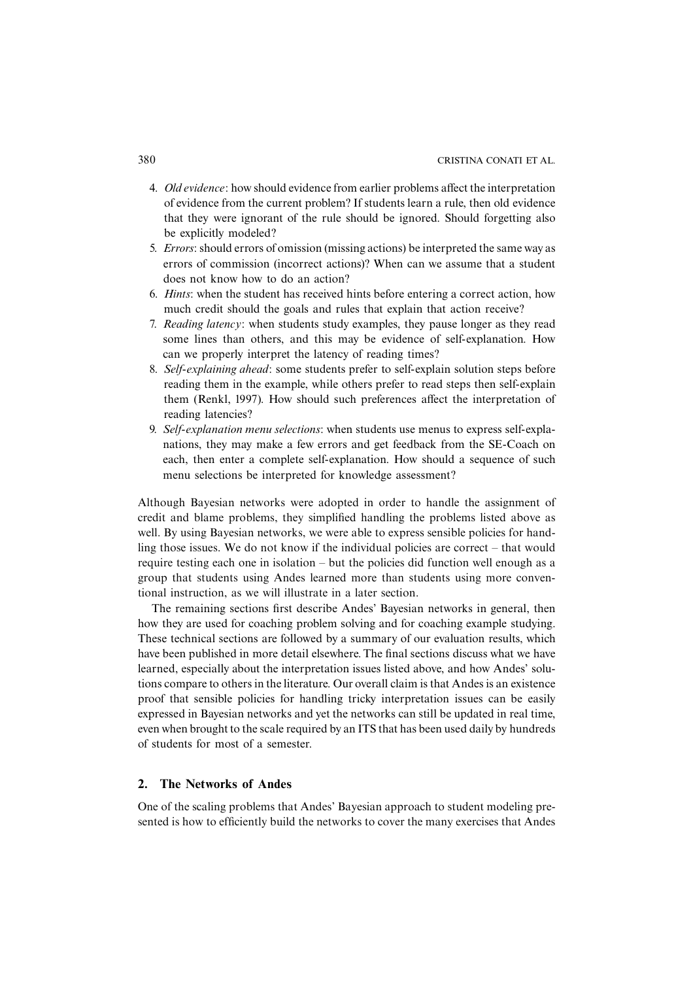- 4. Old evidence: how should evidence from earlier problems affect the interpretation of evidence from the current problem? If students learn a rule, then old evidence that they were ignorant of the rule should be ignored. Should forgetting also be explicitly modeled?
- 5. Errors: should errors of omission (missing actions) be interpreted the same way as errors of commission (incorrect actions)? When can we assume that a student does not know how to do an action?
- 6. Hints: when the student has received hints before entering a correct action, how much credit should the goals and rules that explain that action receive?
- 7. Reading latency: when students study examples, they pause longer as they read some lines than others, and this may be evidence of self-explanation. How can we properly interpret the latency of reading times?
- 8. Self-explaining ahead: some students prefer to self-explain solution steps before reading them in the example, while others prefer to read steps then self-explain them (Renkl, 1997). How should such preferences affect the interpretation of reading latencies?
- 9. Self-explanation menu selections: when students use menus to express self-explanations, they may make a few errors and get feedback from the SE-Coach on each, then enter a complete self-explanation. How should a sequence of such menu selections be interpreted for knowledge assessment?

Although Bayesian networks were adopted in order to handle the assignment of credit and blame problems, they simplified handling the problems listed above as well. By using Bayesian networks, we were able to express sensible policies for handling those issues. We do not know if the individual policies are correct – that would require testing each one in isolation – but the policies did function well enough as a group that students using Andes learned more than students using more conventional instruction, as we will illustrate in a later section.

The remaining sections first describe Andes' Bayesian networks in general, then how they are used for coaching problem solving and for coaching example studying. These technical sections are followed by a summary of our evaluation results, which have been published in more detail elsewhere. The final sections discuss what we have learned, especially about the interpretation issues listed above, and how Andes' solutions compare to others in the literature. Our overall claim is that Andes is an existence proof that sensible policies for handling tricky interpretation issues can be easily expressed in Bayesian networks and yet the networks can still be updated in real time, even when brought to the scale required by an ITS that has been used daily by hundreds of students for most of a semester.

### 2. The Networks of Andes

One of the scaling problems that Andes' Bayesian approach to student modeling presented is how to efficiently build the networks to cover the many exercises that Andes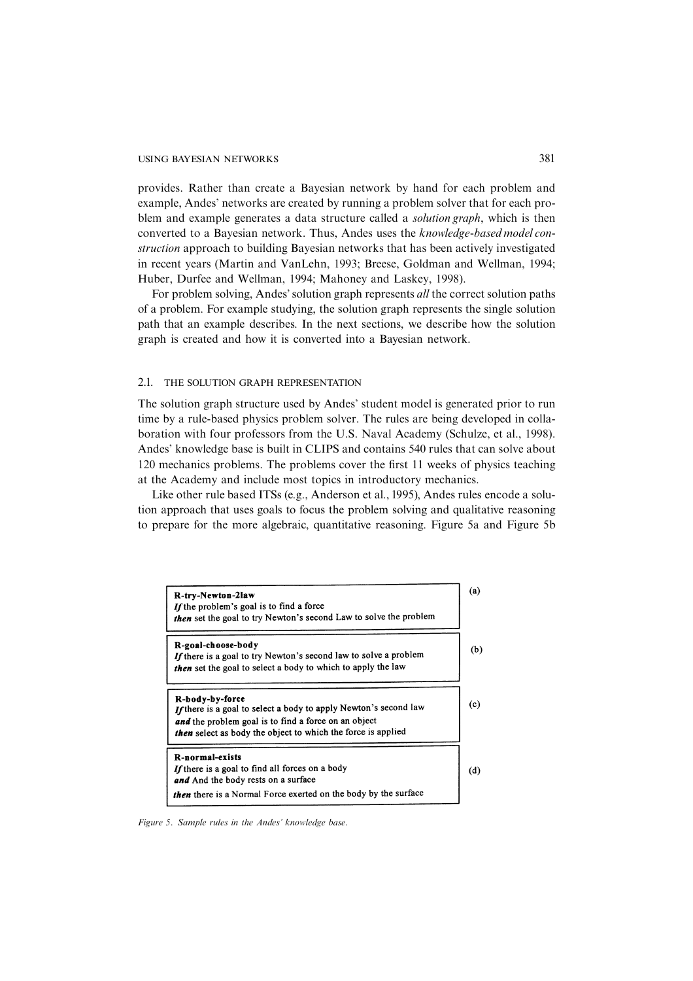provides. Rather than create a Bayesian network by hand for each problem and example, Andes' networks are created by running a problem solver that for each problem and example generates a data structure called a *solution graph*, which is then converted to a Bayesian network. Thus, Andes uses the knowledge-based model construction approach to building Bayesian networks that has been actively investigated in recent years (Martin and VanLehn, 1993; Breese, Goldman and Wellman, 1994; Huber, Durfee and Wellman, 1994; Mahoney and Laskey, 1998).

For problem solving, Andes' solution graph represents *all* the correct solution paths of a problem. For example studying, the solution graph represents the single solution path that an example describes. In the next sections, we describe how the solution graph is created and how it is converted into a Bayesian network.

### 2.1. THE SOLUTION GRAPH REPRESENTATION

The solution graph structure used by Andes' student model is generated prior to run time by a rule-based physics problem solver. The rules are being developed in collaboration with four professors from the U.S. Naval Academy (Schulze, et al., 1998). Andes' knowledge base is built in CLIPS and contains 540 rules that can solve about 120 mechanics problems. The problems cover the first 11 weeks of physics teaching at the Academy and include most topics in introductory mechanics.

Like other rule based ITSs (e.g., Anderson et al., 1995), Andes rules encode a solution approach that uses goals to focus the problem solving and qualitative reasoning to prepare for the more algebraic, quantitative reasoning. Figure 5a and Figure 5b

| R-try-Newton-2law<br>If the problem's goal is to find a force<br>then set the goal to try Newton's second Law to solve the problem                                                                          | (a) |
|-------------------------------------------------------------------------------------------------------------------------------------------------------------------------------------------------------------|-----|
| R-goal-choose-body<br>If there is a goal to try Newton's second law to solve a problem<br>then set the goal to select a body to which to apply the law                                                      | (b) |
| R-body-by-force<br>If there is a goal to select a body to apply Newton's second law<br>and the problem goal is to find a force on an object<br>then select as body the object to which the force is applied | (c) |
| R-normal-exists<br>If there is a goal to find all forces on a body<br>and And the body rests on a surface<br><b><i>then</i></b> there is a Normal Force exerted on the body by the surface                  | (d) |

Figure 5. Sample rules in the Andes' knowledge base.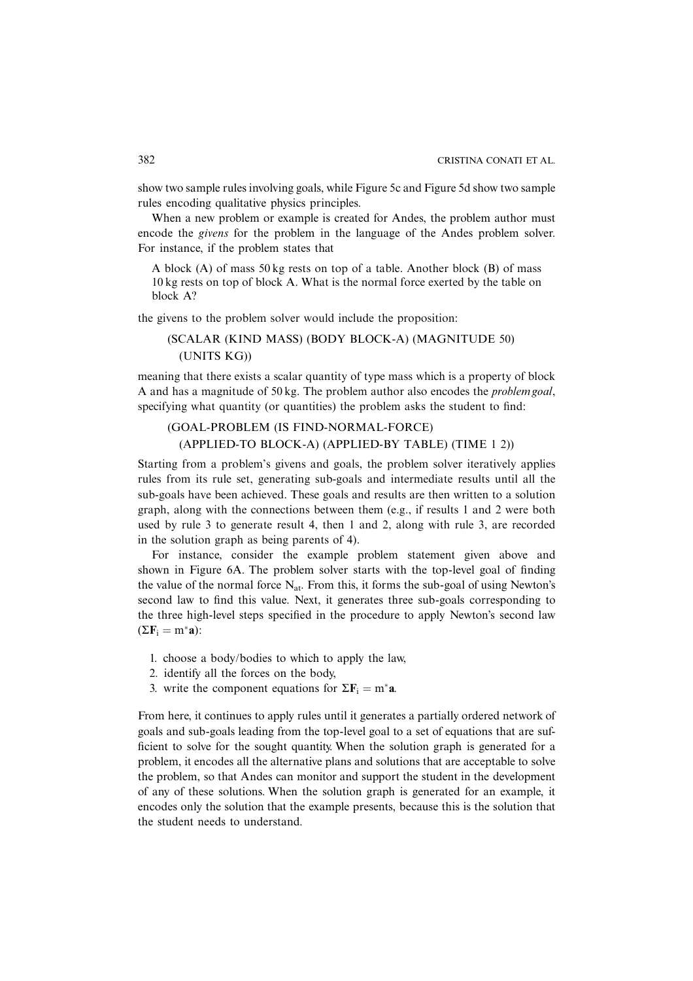show two sample rules involving goals, while Figure 5c and Figure 5d show two sample rules encoding qualitative physics principles.

When a new problem or example is created for Andes, the problem author must encode the givens for the problem in the language of the Andes problem solver. For instance, if the problem states that

A block (A) of mass 50 kg rests on top of a table. Another block (B) of mass 10 kg rests on top of block A. What is the normal force exerted by the table on block A?

the givens to the problem solver would include the proposition:

# (SCALAR (KIND MASS)(BODY BLOCK-A)(MAGNITUDE 50) (UNITS KG))

meaning that there exists a scalar quantity of type mass which is a property of block A and has a magnitude of 50 kg. The problem author also encodes the problem goal, specifying what quantity (or quantities) the problem asks the student to find:

# (GOAL-PROBLEM (IS FIND-NORMAL-FORCE) (APPLIED-TO BLOCK-A)(APPLIED-BY TABLE)(TIME 1 2))

Starting from a problem's givens and goals, the problem solver iteratively applies rules from its rule set, generating sub-goals and intermediate results until all the sub-goals have been achieved. These goals and results are then written to a solution graph, along with the connections between them (e.g., if results 1 and 2 were both used by rule 3 to generate result 4, then 1 and 2, along with rule 3, are recorded in the solution graph as being parents of 4).

For instance, consider the example problem statement given above and shown in Figure 6A. The problem solver starts with the top-level goal of finding the value of the normal force  $N_{at}$ . From this, it forms the sub-goal of using Newton's second law to find this value. Next, it generates three sub-goals corresponding to the three high-level steps specified in the procedure to apply Newton's second law  $(\Sigma \mathbf{F}_i = m^* \mathbf{a})$ :

- 1. choose a body/bodies to which to apply the law,
- 2. identify all the forces on the body,
- 3. write the component equations for  $\Sigma F_i = m^* a$ .

From here, it continues to apply rules until it generates a partially ordered network of goals and sub-goals leading from the top-level goal to a set of equations that are suf ficient to solve for the sought quantity. When the solution graph is generated for a problem, it encodes all the alternative plans and solutions that are acceptable to solve the problem, so that Andes can monitor and support the student in the development of any of these solutions. When the solution graph is generated for an example, it encodes only the solution that the example presents, because this is the solution that the student needs to understand.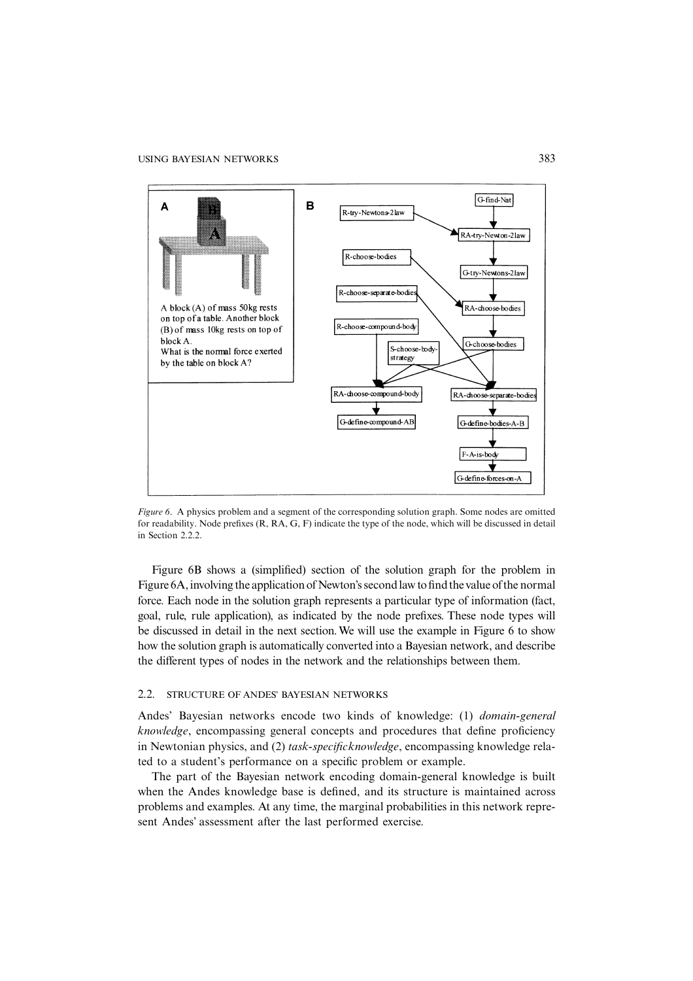

Figure 6. A physics problem and a segment of the corresponding solution graph. Some nodes are omitted for readability. Node prefixes (R, RA, G, F) indicate the type of the node, which will be discussed in detail in Section 2.2.2.

Figure 6B shows a (simplified) section of the solution graph for the problem in Figure 6A, involving the application of Newton's second law to find the value of the normal force. Each node in the solution graph represents a particular type of information (fact, goal, rule, rule application), as indicated by the node prefixes. These node types will be discussed in detail in the next section.We will use the example in Figure 6 to show how the solution graph is automatically converted into a Bayesian network, and describe the different types of nodes in the network and the relationships between them.

### 2.2. STRUCTURE OF ANDES' BAYESIAN NETWORKS

Andes' Bayesian networks encode two kinds of knowledge: (1) domain-general knowledge, encompassing general concepts and procedures that define proficiency in Newtonian physics, and (2) task-specificknowledge, encompassing knowledge related to a student's performance on a specific problem or example.

The part of the Bayesian network encoding domain-general knowledge is built when the Andes knowledge base is defined, and its structure is maintained across problems and examples. At any time, the marginal probabilities in this network represent Andes' assessment after the last performed exercise.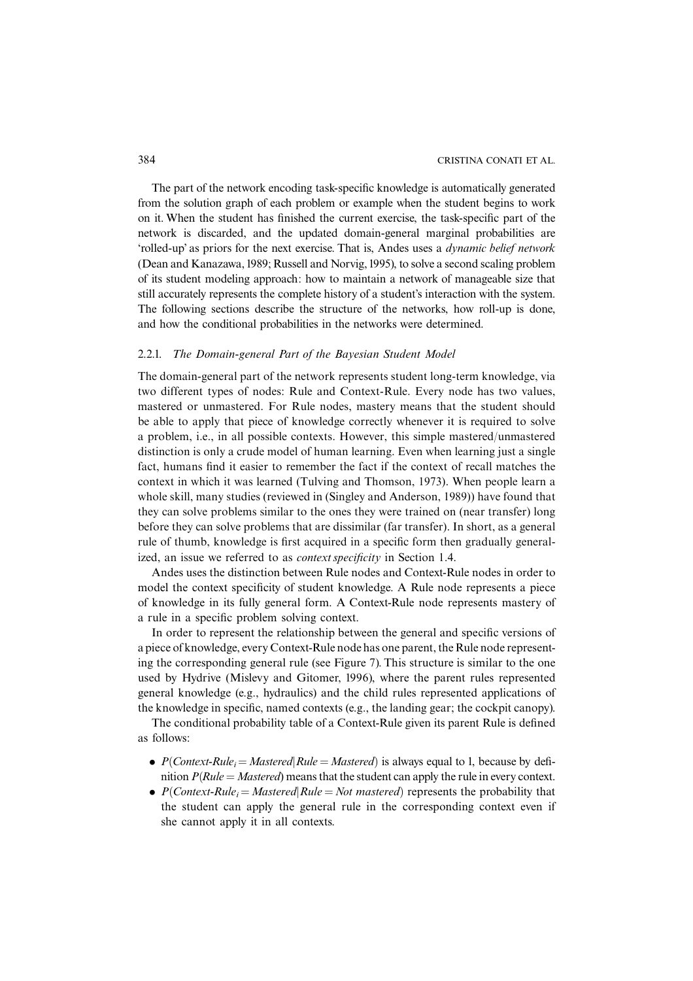The part of the network encoding task-specific knowledge is automatically generated from the solution graph of each problem or example when the student begins to work on it. When the student has finished the current exercise, the task-specific part of the network is discarded, and the updated domain-general marginal probabilities are 'rolled-up' as priors for the next exercise. That is, Andes uses a dynamic belief network (Dean and Kanazawa, 1989; Russell and Norvig, 1995), to solve a second scaling problem of its student modeling approach: how to maintain a network of manageable size that still accurately represents the complete history of a student's interaction with the system. The following sections describe the structure of the networks, how roll-up is done, and how the conditional probabilities in the networks were determined.

### 2.2.1. The Domain-general Part of the Bayesian Student Model

The domain-general part of the network represents student long-term knowledge, via two different types of nodes: Rule and Context-Rule. Every node has two values, mastered or unmastered. For Rule nodes, mastery means that the student should be able to apply that piece of knowledge correctly whenever it is required to solve a problem, i.e., in all possible contexts. However, this simple mastered/unmastered distinction is only a crude model of human learning. Even when learning just a single fact, humans find it easier to remember the fact if the context of recall matches the context in which it was learned (Tulving and Thomson, 1973). When people learn a whole skill, many studies (reviewed in (Singley and Anderson, 1989)) have found that they can solve problems similar to the ones they were trained on (near transfer)long before they can solve problems that are dissimilar (far transfer). In short, as a general rule of thumb, knowledge is first acquired in a specific form then gradually generalized, an issue we referred to as *context specificity* in Section 1.4.

Andes uses the distinction between Rule nodes and Context-Rule nodes in order to model the context specificity of student knowledge. A Rule node represents a piece of knowledge in its fully general form. A Context-Rule node represents mastery of a rule in a specific problem solving context.

In order to represent the relationship between the general and specific versions of a piece of knowledge, every Context-Rule node has one parent, the Rule node representing the corresponding general rule (see Figure 7). This structure is similar to the one used by Hydrive (Mislevy and Gitomer, 1996), where the parent rules represented general knowledge (e.g., hydraulics) and the child rules represented applications of the knowledge in specific, named contexts  $(e.g., the landing gear; the cockpit canopy)$ .

The conditional probability table of a Context-Rule given its parent Rule is defined as follows:

- P(Context-Rule<sub>i</sub> = Mastered| Rule = Mastered) is always equal to 1, because by definition  $P(Rule = Mastered)$  means that the student can apply the rule in every context.
- P(Context-Rule<sub>i</sub> = Mastered|Rule = Not mastered) represents the probability that the student can apply the general rule in the corresponding context even if she cannot apply it in all contexts.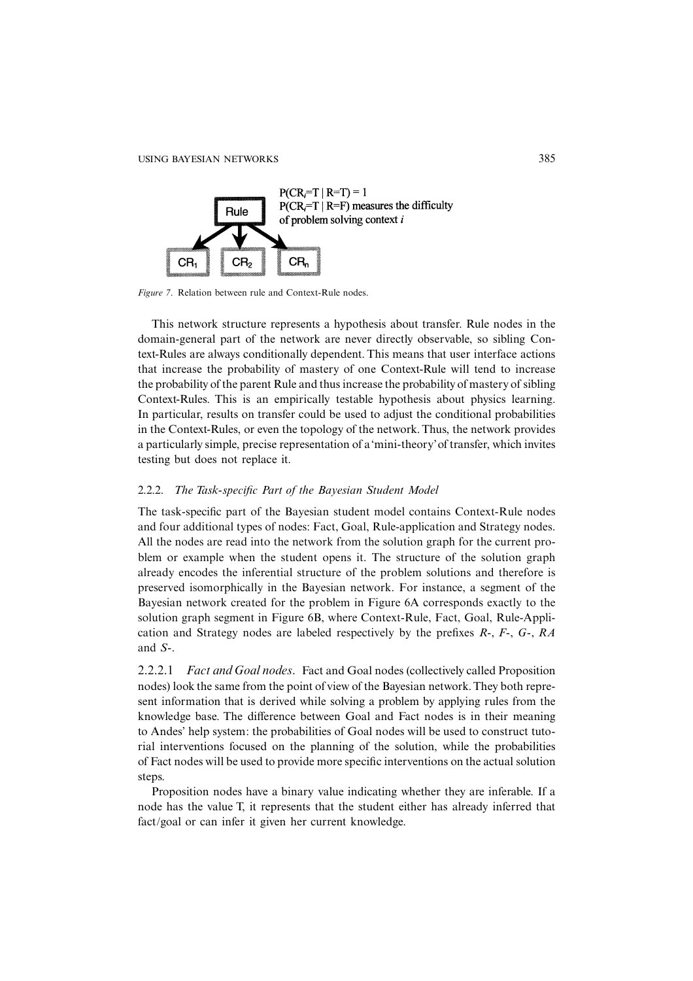

Figure 7. Relation between rule and Context-Rule nodes.

This network structure represents a hypothesis about transfer. Rule nodes in the domain-general part of the network are never directly observable, so sibling Context-Rules are always conditionally dependent. This means that user interface actions that increase the probability of mastery of one Context-Rule will tend to increase the probability of the parent Rule and thus increase the probability of mastery of sibling Context-Rules. This is an empirically testable hypothesis about physics learning. In particular, results on transfer could be used to adjust the conditional probabilities in the Context-Rules, or even the topology of the network. Thus, the network provides a particularly simple, precise representation of a'mini-theory'of transfer, which invites testing but does not replace it.

### 2.2.2. The Task-specific Part of the Bayesian Student Model

The task-specific part of the Bayesian student model contains Context-Rule nodes and four additional types of nodes: Fact, Goal, Rule-application and Strategy nodes. All the nodes are read into the network from the solution graph for the current problem or example when the student opens it. The structure of the solution graph already encodes the inferential structure of the problem solutions and therefore is preserved isomorphically in the Bayesian network. For instance, a segment of the Bayesian network created for the problem in Figure 6A corresponds exactly to the solution graph segment in Figure 6B, where Context-Rule, Fact, Goal, Rule-Application and Strategy nodes are labeled respectively by the prefixes  $R_1$ ,  $F_2$ ,  $G_3$ ,  $R\ddot{A}$ and S-.

2.2.2.1 Fact and Goal nodes. Fact and Goal nodes (collectively called Proposition nodes) look the same from the point of view of the Bayesian network. They both represent information that is derived while solving a problem by applying rules from the knowledge base. The difference between Goal and Fact nodes is in their meaning to Andes' help system: the probabilities of Goal nodes will be used to construct tutorial interventions focused on the planning of the solution, while the probabilities of Fact nodes will be used to provide more speci¢c interventions on the actual solution steps.

Proposition nodes have a binary value indicating whether they are inferable. If a node has the value T, it represents that the student either has already inferred that fact/goal or can infer it given her current knowledge.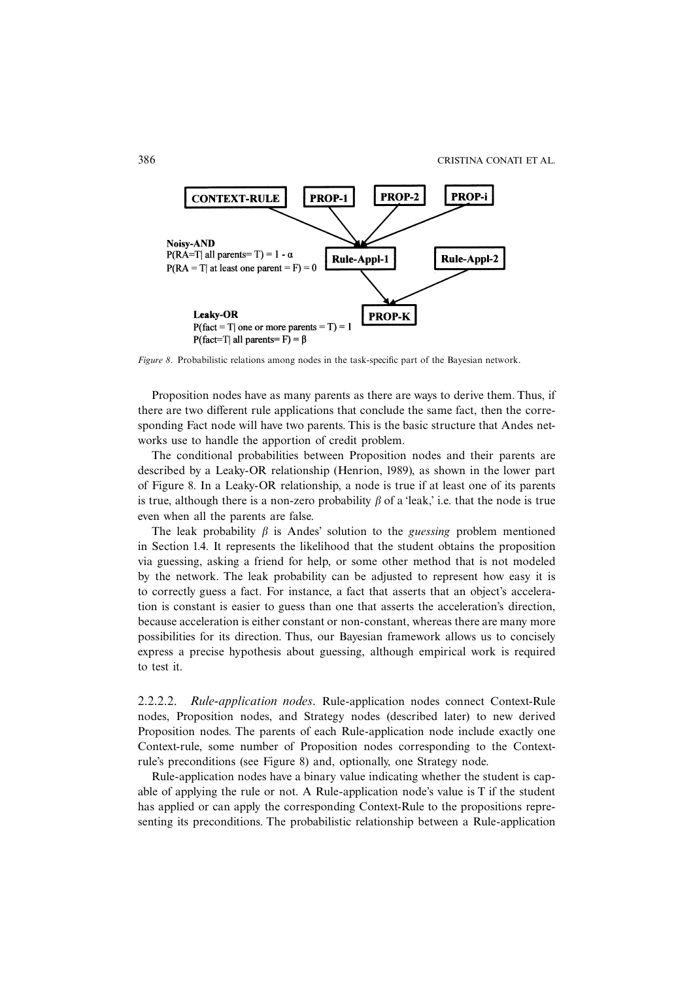

Figure 8. Probabilistic relations among nodes in the task-specific part of the Bayesian network.

Proposition nodes have as many parents as there are ways to derive them. Thus, if there are two different rule applications that conclude the same fact, then the corresponding Fact node will have two parents. This is the basic structure that Andes networks use to handle the apportion of credit problem.

The conditional probabilities between Proposition nodes and their parents are described by a Leaky-OR relationship (Henrion, 1989), as shown in the lower part of Figure 8. In a Leaky-OR relationship, a node is true if at least one of its parents is true, although there is a non-zero probability  $\beta$  of a 'leak,' i.e. that the node is true even when all the parents are false.

The leak probability  $\beta$  is Andes' solution to the *guessing* problem mentioned in Section 1.4. It represents the likelihood that the student obtains the proposition via guessing, asking a friend for help, or some other method that is not modeled by the network. The leak probability can be adjusted to represent how easy it is to correctly guess a fact. For instance, a fact that asserts that an object's acceleration is constant is easier to guess than one that asserts the acceleration's direction, because acceleration is either constant or non-constant, whereas there are many more possibilities for its direction. Thus, our Bayesian framework allows us to concisely express a precise hypothesis about guessing, although empirical work is required to test it.

2.2.2.2. Rule-application nodes. Rule-application nodes connect Context-Rule nodes, Proposition nodes, and Strategy nodes (described later) to new derived Proposition nodes. The parents of each Rule-application node include exactly one Context-rule, some number of Proposition nodes corresponding to the Contextrule's preconditions (see Figure 8) and, optionally, one Strategy node.

Rule-application nodes have a binary value indicating whether the student is capable of applying the rule or not. A Rule-application node's value is T if the student has applied or can apply the corresponding Context-Rule to the propositions representing its preconditions. The probabilistic relationship between a Rule-application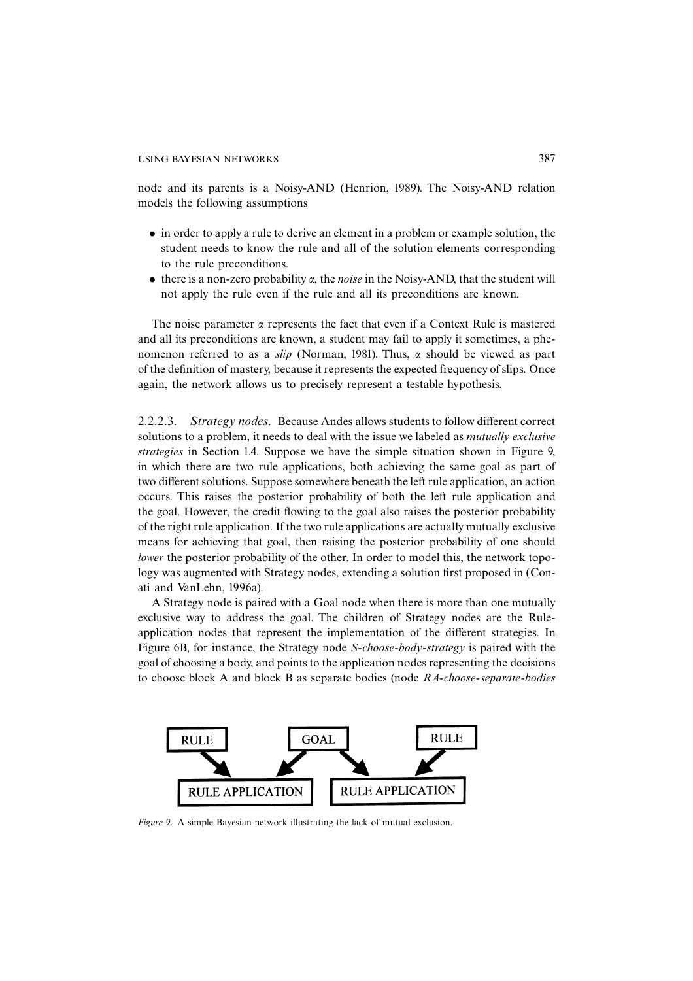node and its parents is a Noisy-AND (Henrion, 1989). The Noisy-AND relation models the following assumptions

- . in order to apply a rule to derive an element in a problem or example solution, the student needs to know the rule and all of the solution elements corresponding to the rule preconditions.
- $\bullet$  there is a non-zero probability  $\alpha$ , the *noise* in the Noisy-AND, that the student will not apply the rule even if the rule and all its preconditions are known.

The noise parameter  $\alpha$  represents the fact that even if a Context Rule is mastered and all its preconditions are known, a student may fail to apply it sometimes, a phenomenon referred to as a *slip* (Norman, 1981). Thus,  $\alpha$  should be viewed as part of the de¢nition of mastery, because it represents the expected frequency of slips. Once again, the network allows us to precisely represent a testable hypothesis.

2.2.2.3. Strategy nodes. Because Andes allows students to follow different correct solutions to a problem, it needs to deal with the issue we labeled as *mutually exclusive* strategies in Section 1.4. Suppose we have the simple situation shown in Figure 9, in which there are two rule applications, both achieving the same goal as part of two different solutions. Suppose somewhere beneath the left rule application, an action occurs. This raises the posterior probability of both the left rule application and the goal. However, the credit flowing to the goal also raises the posterior probability of the right rule application. If the two rule applications are actually mutually exclusive means for achieving that goal, then raising the posterior probability of one should lower the posterior probability of the other. In order to model this, the network topology was augmented with Strategy nodes, extending a solution first proposed in (Conati and VanLehn, 1996a).

A Strategy node is paired with a Goal node when there is more than one mutually exclusive way to address the goal. The children of Strategy nodes are the Ruleapplication nodes that represent the implementation of the different strategies. In Figure 6B, for instance, the Strategy node S-choose-body-strategy is paired with the goal of choosing a body, and points to the application nodes representing the decisions to choose block A and block B as separate bodies (node RA-choose-separate-bodies



Figure 9. A simple Bayesian network illustrating the lack of mutual exclusion.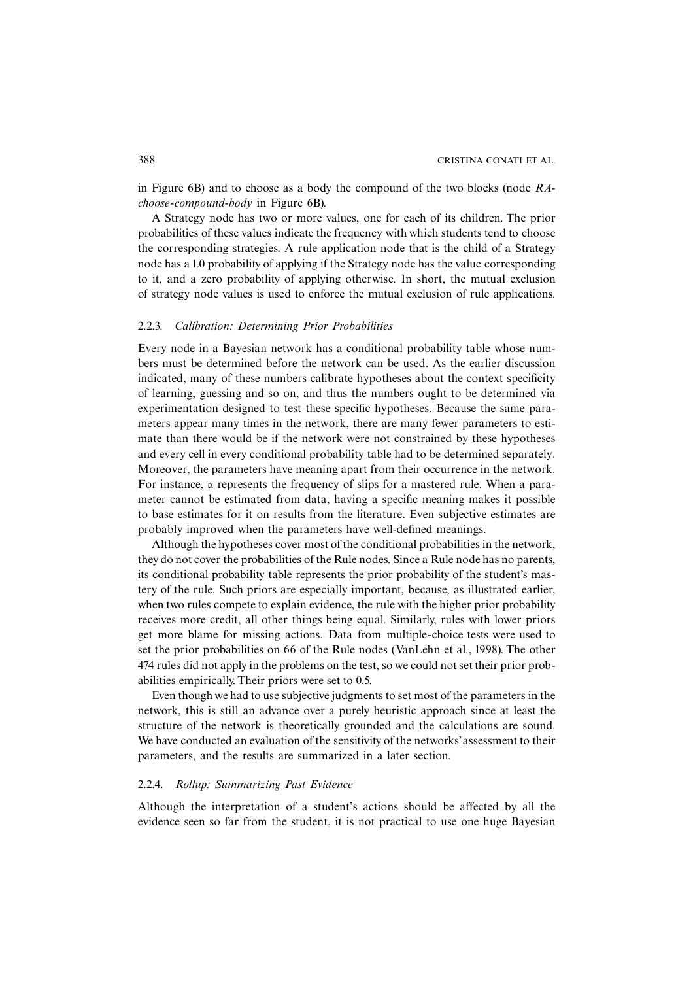in Figure 6B) and to choose as a body the compound of the two blocks (node RAchoose-compound-body in Figure 6B).

A Strategy node has two or more values, one for each of its children. The prior probabilities of these values indicate the frequency with which students tend to choose the corresponding strategies. A rule application node that is the child of a Strategy node has a 1.0 probability of applying if the Strategy node has the value corresponding to it, and a zero probability of applying otherwise. In short, the mutual exclusion of strategy node values is used to enforce the mutual exclusion of rule applications.

### 2.2.3. Calibration: Determining Prior Probabilities

Every node in a Bayesian network has a conditional probability table whose numbers must be determined before the network can be used. As the earlier discussion indicated, many of these numbers calibrate hypotheses about the context specificity of learning, guessing and so on, and thus the numbers ought to be determined via experimentation designed to test these specific hypotheses. Because the same parameters appear many times in the network, there are many fewer parameters to estimate than there would be if the network were not constrained by these hypotheses and every cell in every conditional probability table had to be determined separately. Moreover, the parameters have meaning apart from their occurrence in the network. For instance,  $\alpha$  represents the frequency of slips for a mastered rule. When a parameter cannot be estimated from data, having a specific meaning makes it possible to base estimates for it on results from the literature. Even subjective estimates are probably improved when the parameters have well-defined meanings.

Although the hypotheses cover most of the conditional probabilities in the network, they do not cover the probabilities of the Rule nodes. Since a Rule node has no parents, its conditional probability table represents the prior probability of the student's mastery of the rule. Such priors are especially important, because, as illustrated earlier, when two rules compete to explain evidence, the rule with the higher prior probability receives more credit, all other things being equal. Similarly, rules with lower priors get more blame for missing actions. Data from multiple-choice tests were used to set the prior probabilities on 66 of the Rule nodes (VanLehn et al., 1998). The other 474 rules did not apply in the problems on the test, so we could not set their prior probabilities empirically. Their priors were set to 0.5.

Even though we had to use subjective judgments to set most of the parameters in the network, this is still an advance over a purely heuristic approach since at least the structure of the network is theoretically grounded and the calculations are sound. We have conducted an evaluation of the sensitivity of the networks'assessment to their parameters, and the results are summarized in a later section.

### 2.2.4. Rollup: Summarizing Past Evidence

Although the interpretation of a student's actions should be affected by all the evidence seen so far from the student, it is not practical to use one huge Bayesian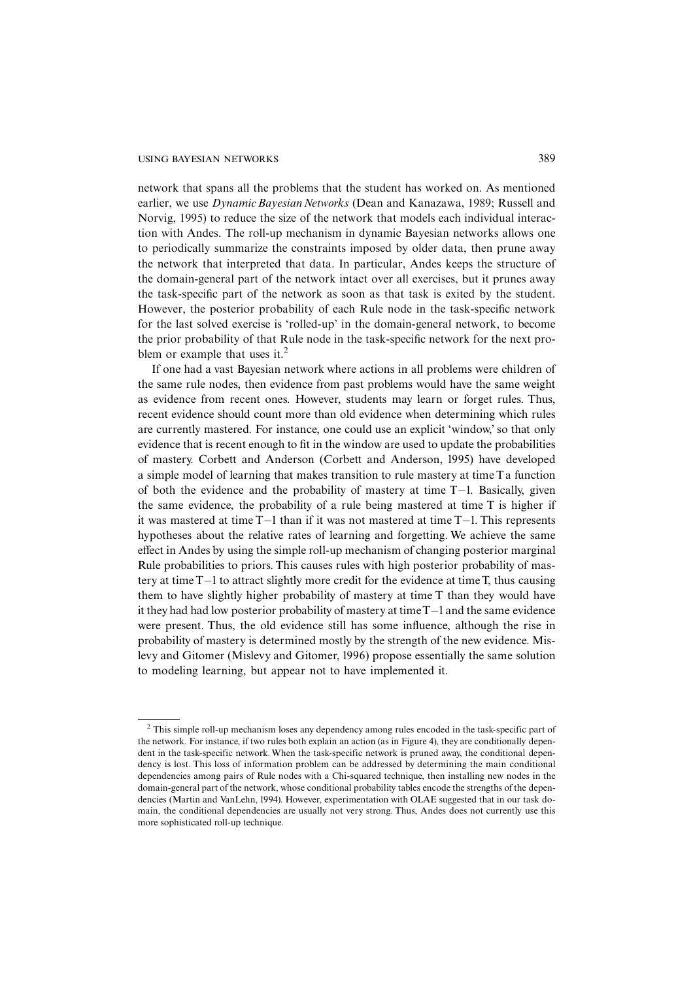network that spans all the problems that the student has worked on. As mentioned earlier, we use Dynamic Bayesian Networks (Dean and Kanazawa, 1989; Russell and Norvig, 1995) to reduce the size of the network that models each individual interaction with Andes. The roll-up mechanism in dynamic Bayesian networks allows one to periodically summarize the constraints imposed by older data, then prune away the network that interpreted that data. In particular, Andes keeps the structure of the domain-general part of the network intact over all exercises, but it prunes away the task-specific part of the network as soon as that task is exited by the student. However, the posterior probability of each Rule node in the task-specific network for the last solved exercise is 'rolled-up' in the domain-general network, to become the prior probability of that Rule node in the task-specific network for the next problem or example that uses it.<sup>2</sup>

If one had a vast Bayesian network where actions in all problems were children of the same rule nodes, then evidence from past problems would have the same weight as evidence from recent ones. However, students may learn or forget rules. Thus, recent evidence should count more than old evidence when determining which rules are currently mastered. For instance, one could use an explicit 'window,' so that only evidence that is recent enough to fit in the window are used to update the probabilities of mastery. Corbett and Anderson (Corbett and Anderson, 1995) have developed a simple model of learning that makes transition to rule mastery at time T a function of both the evidence and the probability of mastery at time  $T-1$ . Basically, given the same evidence, the probability of a rule being mastered at time T is higher if it was mastered at time  $T-1$  than if it was not mastered at time  $T-1$ . This represents hypotheses about the relative rates of learning and forgetting. We achieve the same effect in Andes by using the simple roll-up mechanism of changing posterior marginal Rule probabilities to priors. This causes rules with high posterior probability of mastery at time  $T-1$  to attract slightly more credit for the evidence at time  $T$ , thus causing them to have slightly higher probability of mastery at time  $T$  than they would have it they had had low posterior probability of mastery at time  $T-1$  and the same evidence were present. Thus, the old evidence still has some influence, although the rise in probability of mastery is determined mostly by the strength of the new evidence. Mislevy and Gitomer (Mislevy and Gitomer, 1996) propose essentially the same solution to modeling learning, but appear not to have implemented it.

<sup>&</sup>lt;sup>2</sup> This simple roll-up mechanism loses any dependency among rules encoded in the task-specific part of the network. For instance, if two rules both explain an action (as in Figure 4), they are conditionally dependent in the task-specific network.When the task-specific network is pruned away, the conditional dependency is lost. This loss of information problem can be addressed by determining the main conditional dependencies among pairs of Rule nodes with a Chi-squared technique, then installing new nodes in the domain-general part of the network, whose conditional probability tables encode the strengths of the dependencies (Martin and VanLehn, 1994). However, experimentation with OLAE suggested that in our task domain, the conditional dependencies are usually not very strong. Thus, Andes does not currently use this more sophisticated roll-up technique.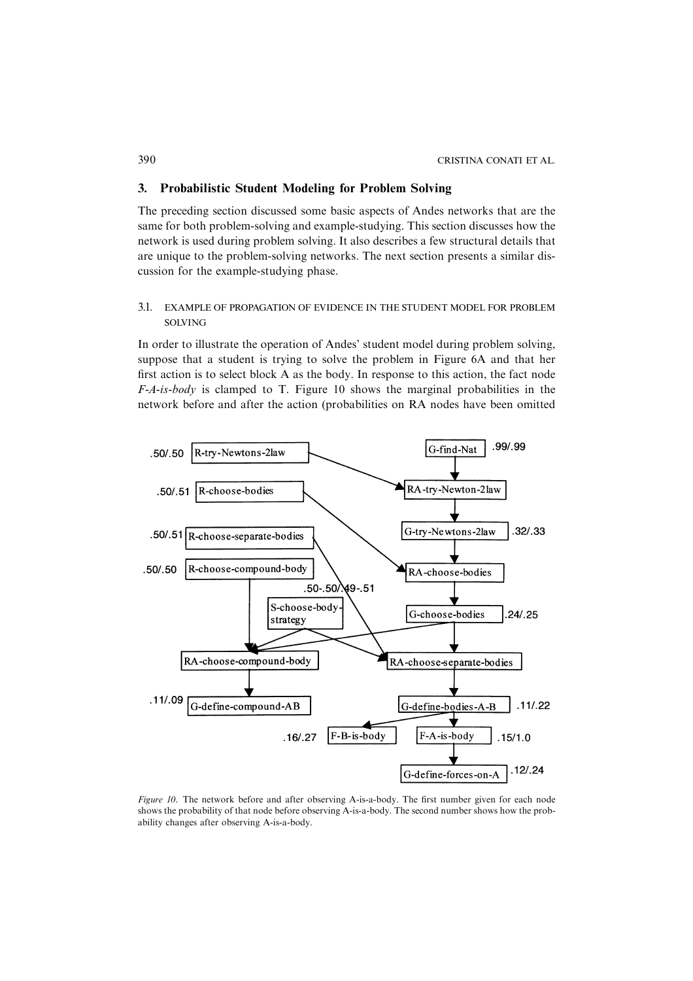### 3. Probabilistic Student Modeling for Problem Solving

The preceding section discussed some basic aspects of Andes networks that are the same for both problem-solving and example-studying. This section discusses how the network is used during problem solving. It also describes a few structural details that are unique to the problem-solving networks. The next section presents a similar discussion for the example-studying phase.

### 3.1. EXAMPLE OF PROPAGATION OF EVIDENCE IN THE STUDENT MODEL FOR PROBLEM SOLVING

In order to illustrate the operation of Andes' student model during problem solving, suppose that a student is trying to solve the problem in Figure 6A and that her first action is to select block A as the body. In response to this action, the fact node F-A-is-body is clamped to T. Figure 10 shows the marginal probabilities in the network before and after the action (probabilities on RA nodes have been omitted



Figure 10. The network before and after observing A-is-a-body. The first number given for each node shows the probability of that node before observing A-is-a-body. The second number shows how the probability changes after observing A-is-a-body.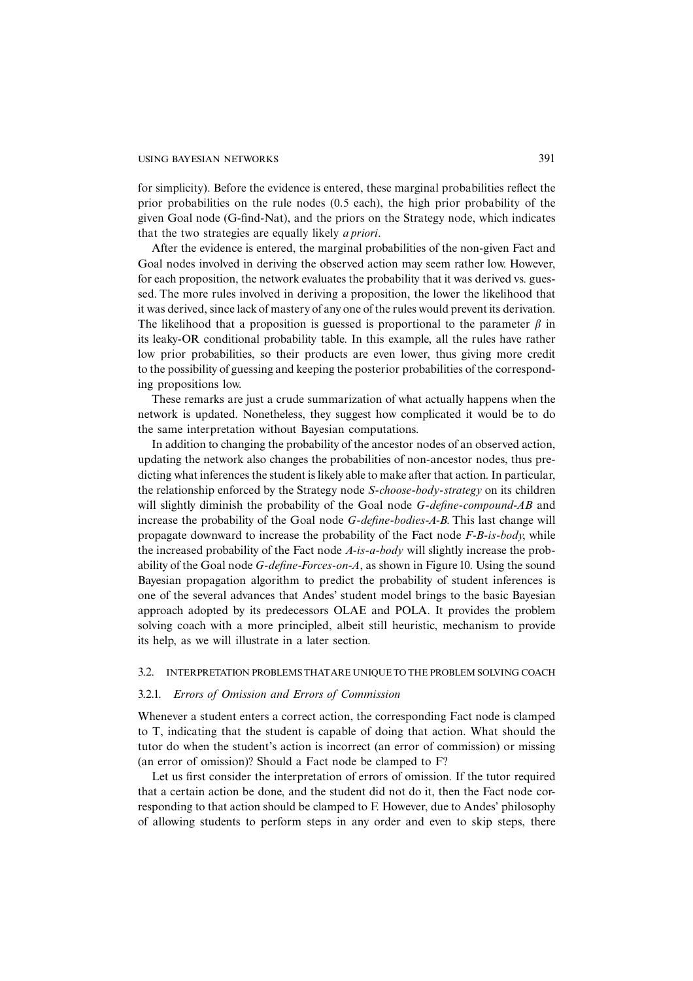for simplicity). Before the evidence is entered, these marginal probabilities reflect the prior probabilities on the rule nodes (0.5 each), the high prior probability of the given Goal node (G-find-Nat), and the priors on the Strategy node, which indicates that the two strategies are equally likely a priori.

After the evidence is entered, the marginal probabilities of the non-given Fact and Goal nodes involved in deriving the observed action may seem rather low. However, for each proposition, the network evaluates the probability that it was derived vs. guessed. The more rules involved in deriving a proposition, the lower the likelihood that it was derived, since lack of mastery of any one of the rules would prevent its derivation. The likelihood that a proposition is guessed is proportional to the parameter  $\beta$  in its leaky-OR conditional probability table. In this example, all the rules have rather low prior probabilities, so their products are even lower, thus giving more credit to the possibility of guessing and keeping the posterior probabilities of the corresponding propositions low.

These remarks are just a crude summarization of what actually happens when the network is updated. Nonetheless, they suggest how complicated it would be to do the same interpretation without Bayesian computations.

In addition to changing the probability of the ancestor nodes of an observed action, updating the network also changes the probabilities of non-ancestor nodes, thus predicting what inferences the student is likely able to make after that action. In particular, the relationship enforced by the Strategy node S-choose-body-strategy on its children will slightly diminish the probability of the Goal node  $G$ -define-compound-AB and increase the probability of the Goal node G-define-bodies-A-B. This last change will propagate downward to increase the probability of the Fact node  $F-B-is-body$ , while the increased probability of the Fact node A-is-a-body will slightly increase the probability of the Goal node G-define-Forces-on-A, as shown in Figure 10. Using the sound Bayesian propagation algorithm to predict the probability of student inferences is one of the several advances that Andes' student model brings to the basic Bayesian approach adopted by its predecessors OLAE and POLA. It provides the problem solving coach with a more principled, albeit still heuristic, mechanism to provide its help, as we will illustrate in a later section.

### 3.2. INTERPRETATION PROBLEMS THATARE UNIQUE TO THE PROBLEM SOLVING COACH

### 3.2.1. Errors of Omission and Errors of Commission

Whenever a student enters a correct action, the corresponding Fact node is clamped to T, indicating that the student is capable of doing that action. What should the tutor do when the student's action is incorrect (an error of commission) or missing (an error of omission)? Should a Fact node be clamped to F?

Let us first consider the interpretation of errors of omission. If the tutor required that a certain action be done, and the student did not do it, then the Fact node corresponding to that action should be clamped to F. However, due to Andes' philosophy of allowing students to perform steps in any order and even to skip steps, there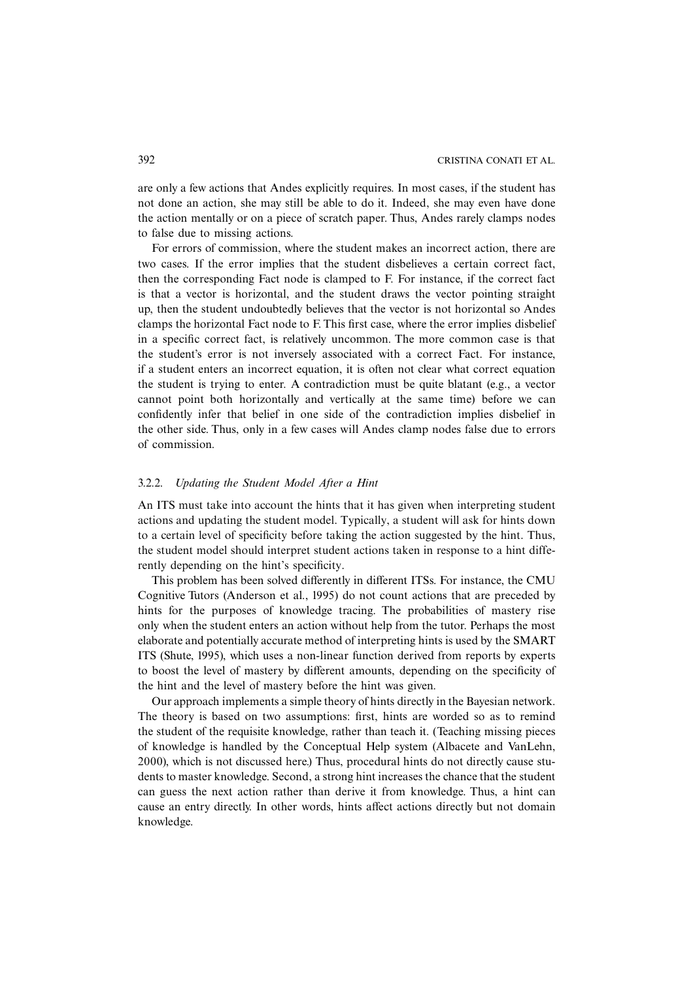are only a few actions that Andes explicitly requires. In most cases, if the student has not done an action, she may still be able to do it. Indeed, she may even have done the action mentally oron a piece of scratch paper. Thus, Andes rarely clamps nodes to false due to missing actions.

For errors of commission, where the student makes an incorrect action, there are two cases. If the error implies that the student disbelieves a certain correct fact, then the corresponding Fact node is clamped to F. For instance, if the correct fact is that a vector is horizontal, and the student draws the vector pointing straight up, then the student undoubtedly believes that the vectoris not horizontal so Andes clamps the horizontal Fact node to F. This first case, where the error implies disbelief in a specific correct fact, is relatively uncommon. The more common case is that the student's error is not inversely associated with a correct Fact. For instance, if a student enters an incorrect equation, it is often not clear what correct equation the student is trying to enter. A contradiction must be quite blatant (e.g., a vector cannot point both horizontally and vertically at the same time) before we can confidently infer that belief in one side of the contradiction implies disbelief in the other side. Thus, only in a few cases will Andes clamp nodes false due to errors of commission.

### 3.2.2. Updating the Student Model After a Hint

An ITS must take into account the hints that it has given when interpreting student actions and updating the student model. Typically, a student will ask for hints down to a certain level of specificity before taking the action suggested by the hint. Thus, the student model should interpret student actions taken in response to a hint differently depending on the hint's specificity.

This problem has been solved differently in different ITSs. For instance, the CMU Cognitive Tutors (Anderson et al., 1995) do not count actions that are preceded by hints for the purposes of knowledge tracing. The probabilities of mastery rise only when the student enters an action without help from the tutor. Perhaps the most elaborate and potentially accurate method of interpreting hints is used by the SMART ITS (Shute, 1995), which uses a non-linear function derived from reports by experts to boost the level of mastery by different amounts, depending on the specificity of the hint and the level of mastery before the hint was given.

Ourapproach implements a simple theory of hints directly in the Bayesian network. The theory is based on two assumptions: first, hints are worded so as to remind the student of the requisite knowledge, rather than teach it. (Teaching missing pieces of knowledge is handled by the Conceptual Help system (Albacete and VanLehn, 2000), which is not discussed here.) Thus, procedural hints do not directly cause students to master knowledge. Second, a strong hint increases the chance that the student can guess the next action rather than derive it from knowledge. Thus, a hint can cause an entry directly. In other words, hints affect actions directly but not domain knowledge.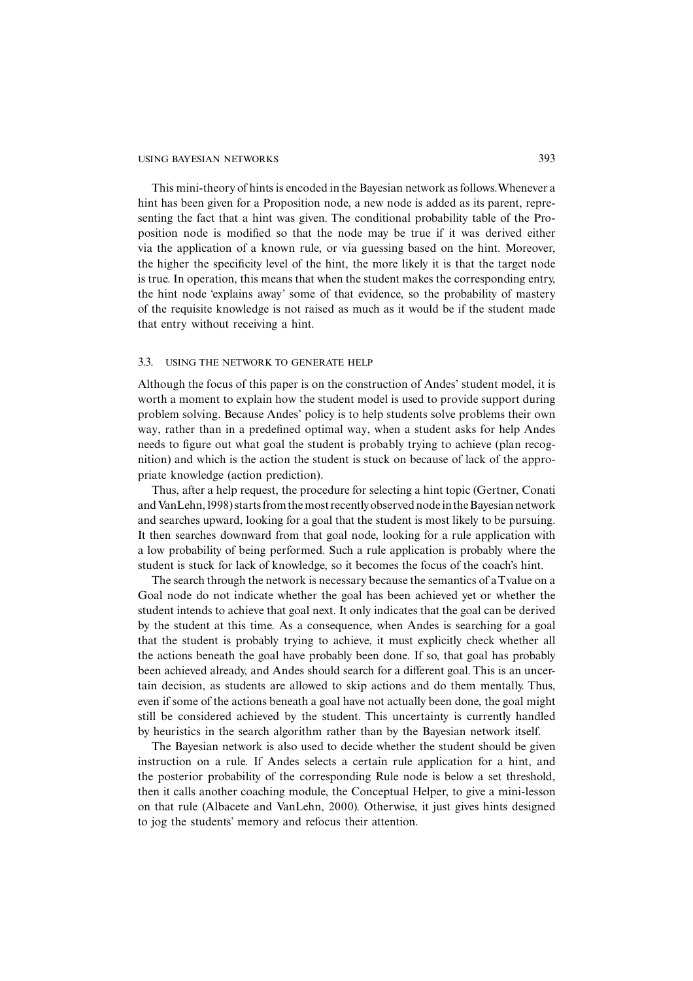This mini-theory of hints is encoded in the Bayesian network as follows.Whenever a hint has been given for a Proposition node, a new node is added as its parent, representing the fact that a hint was given. The conditional probability table of the Proposition node is modified so that the node may be true if it was derived either via the application of a known rule, or via guessing based on the hint. Moreover, the higher the specificity level of the hint, the more likely it is that the target node is true. In operation, this means that when the student makes the corresponding entry, the hint node 'explains away' some of that evidence, so the probability of mastery of the requisite knowledge is not raised as much as it would be if the student made that entry without receiving a hint.

### 3.3. USING THE NETWORK TO GENERATE HELP

Although the focus of this paper is on the construction of Andes' student model, it is worth a moment to explain how the student model is used to provide support during problem solving. Because Andes' policy is to help students solve problems their own way, rather than in a predefined optimal way, when a student asks for help Andes needs to figure out what goal the student is probably trying to achieve (plan recognition) and which is the action the student is stuck on because of lack of the appropriate knowledge (action prediction).

Thus, after a help request, the procedure for selecting a hint topic (Gertner, Conati and VanLehn,1998) starts from the most recentlyobserved nodein the Bayesian network and searches upward, looking for a goal that the student is most likely to be pursuing. It then searches downward from that goal node, looking for a rule application with a low probability of being performed. Such a rule application is probably where the student is stuck for lack of knowledge, so it becomes the focus of the coach's hint.

The search through the network is necessary because the semantics of aTvalue on a Goal node do not indicate whether the goal has been achieved yet or whether the student intends to achieve that goal next. It only indicates that the goal can be derived by the student at this time. As a consequence, when Andes is searching for a goal that the student is probably trying to achieve, it must explicitly check whether all the actions beneath the goal have probably been done. If so, that goal has probably been achieved already, and Andes should search for a different goal. This is an uncertain decision, as students are allowed to skip actions and do them mentally. Thus, even if some of the actions beneath a goal have not actually been done, the goal might still be considered achieved by the student. This uncertainty is currently handled by heuristics in the search algorithm rather than by the Bayesian network itself.

The Bayesian network is also used to decide whether the student should be given instruction on a rule. If Andes selects a certain rule application for a hint, and the posterior probability of the corresponding Rule node is below a set threshold, then it calls another coaching module, the Conceptual Helper, to give a mini-lesson on that rule (Albacete and VanLehn, 2000). Otherwise, it just gives hints designed to jog the students' memory and refocus their attention.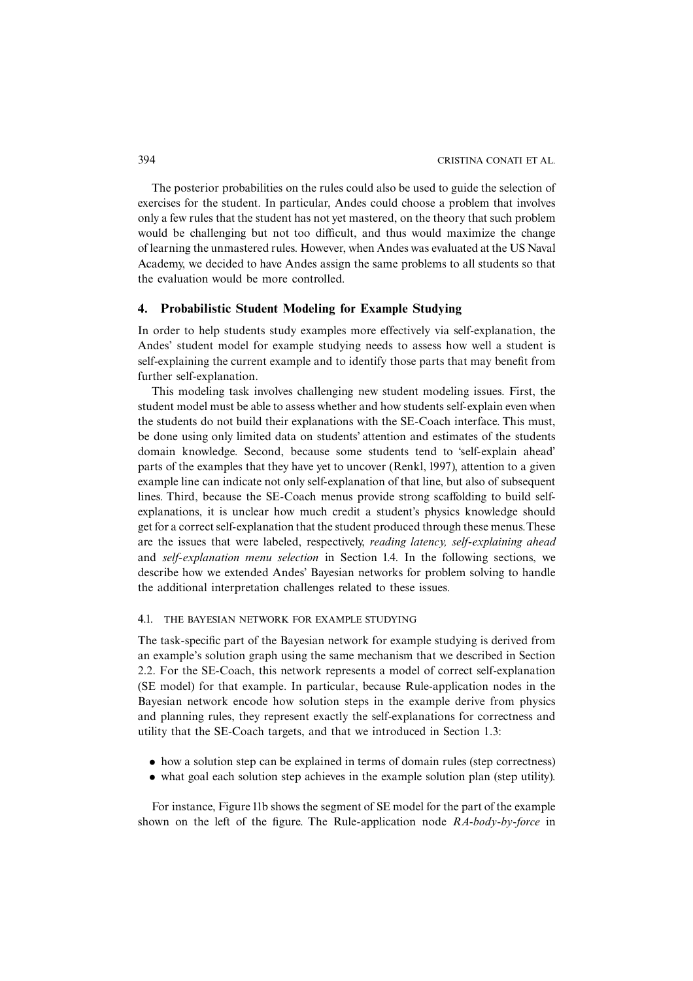The posterior probabilities on the rules could also be used to guide the selection of exercises for the student. In particular, Andes could choose a problem that involves only a few rules that the student has not yet mastered, on the theory that such problem would be challenging but not too difficult, and thus would maximize the change of learning the unmastered rules. However, when Andes was evaluated at the US Naval Academy, we decided to have Andes assign the same problems to all students so that the evaluation would be more controlled.

### 4. Probabilistic Student Modeling for Example Studying

In order to help students study examples more effectively via self-explanation, the Andes' student model for example studying needs to assess how well a student is self-explaining the current example and to identify those parts that may benefit from further self-explanation.

This modeling task involves challenging new student modeling issues. First, the student model must be able to assess whether and how students self-explain even when the students do not build their explanations with the SE-Coach interface. This must, be done using only limited data on students' attention and estimates of the students domain knowledge. Second, because some students tend to 'self-explain ahead' parts of the examples that they have yet to uncover (Renkl, 1997), attention to a given example line can indicate not only self-explanation of that line, but also of subsequent lines. Third, because the SE-Coach menus provide strong scaffolding to build selfexplanations, it is unclear how much credit a student's physics knowledge should get for a correct self-explanation that the student produced through these menus.These are the issues that were labeled, respectively, reading latency, self-explaining ahead and self-explanation menu selection in Section 1.4. In the following sections, we describe how we extended Andes' Bayesian networks for problem solving to handle the additional interpretation challenges related to these issues.

### 4.1. THE BAYESIAN NETWORK FOR EXAMPLE STUDYING

The task-specific part of the Bayesian network for example studying is derived from an example's solution graph using the same mechanism that we described in Section 2.2. For the SE-Coach, this network represents a model of correct self-explanation (SE model) for that example. In particular, because Rule-application nodes in the Bayesian network encode how solution steps in the example derive from physics and planning rules, they represent exactly the self-explanations for correctness and utility that the SE-Coach targets, and that we introduced in Section 1.3:

- . how a solution step can be explained in terms of domain rules (step correctness)
- . what goal each solution step achieves in the example solution plan (step utility).

For instance, Figure 11b shows the segment of SE model for the part of the example shown on the left of the figure. The Rule-application node  $RA-body-by-force$  in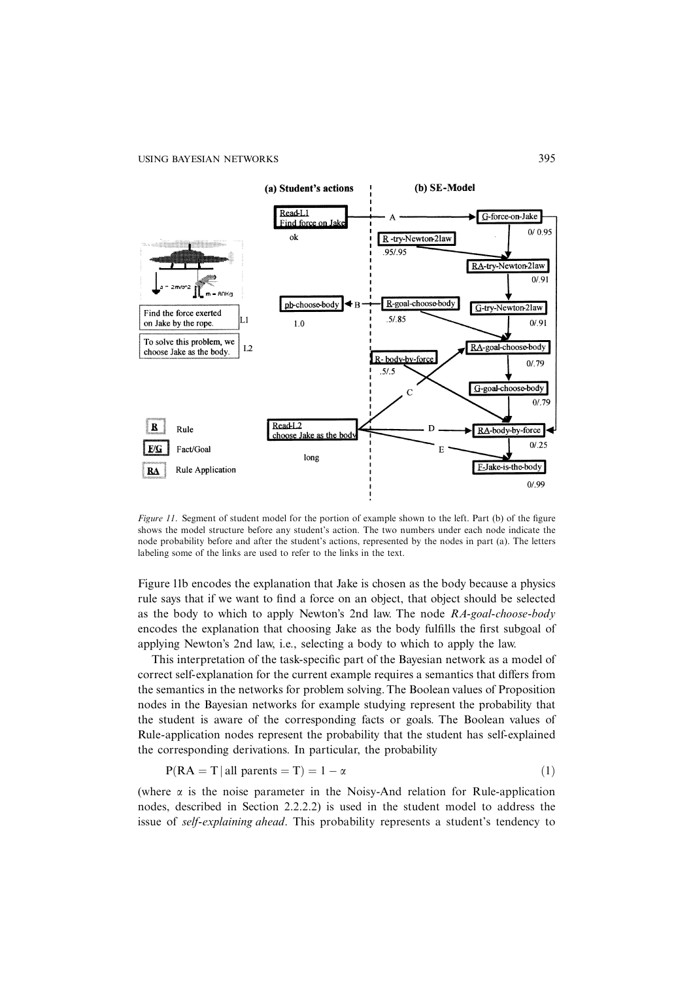

Figure 11. Segment of student model for the portion of example shown to the left. Part (b) of the figure shows the model structure before any student's action. The two numbers under each node indicate the node probability before and after the student's actions, represented by the nodes in part (a). The letters labeling some of the links are used to refer to the links in the text.

Figure 11b encodes the explanation that Jake is chosen as the body because a physics rule says that if we want to find a force on an object, that object should be selected as the body to which to apply Newton's 2nd law. The node RA-goal-choose-body encodes the explanation that choosing Jake as the body fulfills the first subgoal of applying Newton's 2nd law, i.e., selecting a body to which to apply the law.

This interpretation of the task-specific part of the Bayesian network as a model of correct self-explanation for the current example requires a semantics that differs from the semantics in the networks for problem solving. The Boolean values of Proposition nodes in the Bayesian networks for example studying represent the probability that the student is aware of the corresponding facts or goals. The Boolean values of Rule-application nodes represent the probability that the student has self-explained the corresponding derivations. In particular, the probability

$$
P(RA = T | all parents = T) = 1 - \alpha
$$
\n(1)

(where  $\alpha$  is the noise parameter in the Noisy-And relation for Rule-application nodes, described in Section 2.2.2.2) is used in the student model to address the issue of self-explaining ahead. This probability represents a student's tendency to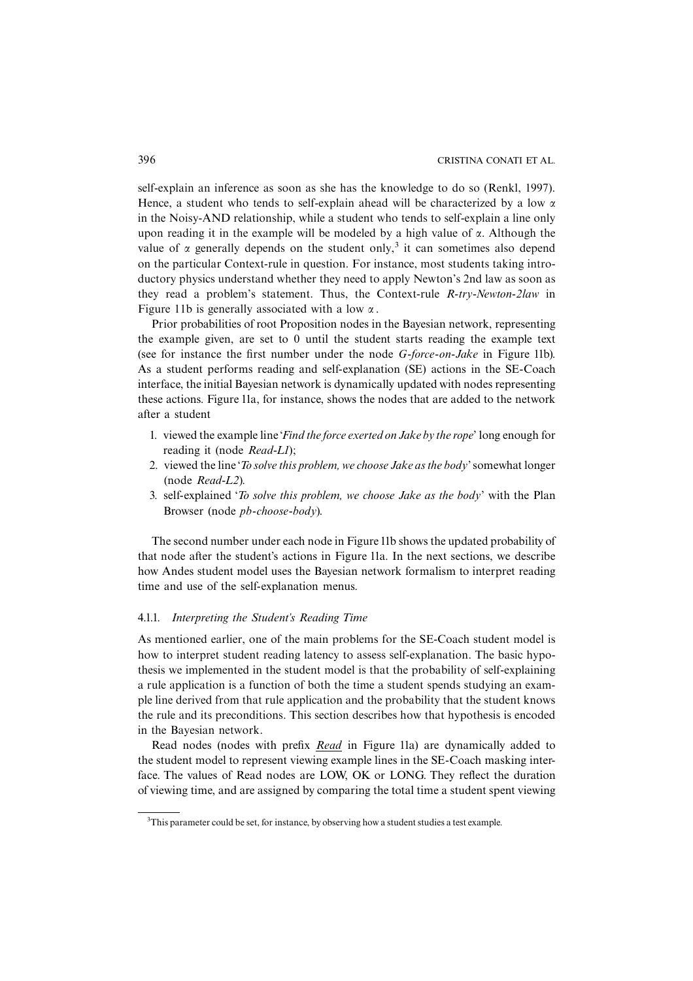self-explain an inference as soon as she has the knowledge to do so (Renkl, 1997). Hence, a student who tends to self-explain ahead will be characterized by a low  $\alpha$ in the Noisy-AND relationship, while a student who tends to self-explain a line only upon reading it in the example will be modeled by a high value of  $\alpha$ . Although the value of  $\alpha$  generally depends on the student only,<sup>3</sup> it can sometimes also depend on the particular Context-rule in question. For instance, most students taking introductory physics understand whether they need to apply Newton's 2nd law as soon as they read a problem's statement. Thus, the Context-rule R-try-Newton-2law in Figure 11b is generally associated with a low  $\alpha$ .

Prior probabilities of root Proposition nodes in the Bayesian network, representing the example given, are set to 0 until the student starts reading the example text (see for instance the first number under the node  $G$ -force-on-Jake in Figure 11b). As a student performs reading and self-explanation (SE) actions in the SE-Coach interface, the initial Bayesian network is dynamically updated with nodes representing these actions. Figure 11a, for instance, shows the nodes that are added to the network after a student

- 1. viewed the example line'Find the force exerted on Jake by the rope' long enough for reading it (node Read-LI);
- 2. viewed the line 'To solve this problem, we choose Jake as the body' somewhat longer (node Read-L2).
- 3. self-explained 'To solve this problem, we choose Jake as the body' with the Plan Browser (node pb-choose-body).

The second number under each node in Figure 11b shows the updated probability of that node after the student's actions in Figure 11a. In the next sections, we describe how Andes student model uses the Bayesian network formalism to interpret reading time and use of the self-explanation menus.

### 4.1.1. Interpreting the Student's Reading Time

As mentioned earlier, one of the main problems for the SE-Coach student model is how to interpret student reading latency to assess self-explanation. The basic hypothesis we implemented in the student model is that the probability of self-explaining a rule application is a function of both the time a student spends studying an example line derived from that rule application and the probability that the student knows the rule and its preconditions. This section describes how that hypothesis is encoded in the Bayesian network.

Read nodes (nodes with prefix Read in Figure 11a) are dynamically added to the student model to represent viewing example lines in the SE-Coach masking interface. The values of Read nodes are LOW, OK or LONG. They reflect the duration of viewing time, and are assigned by comparing the total time a student spent viewing

 $3$ This parameter could be set, for instance, by observing how a student studies a test example.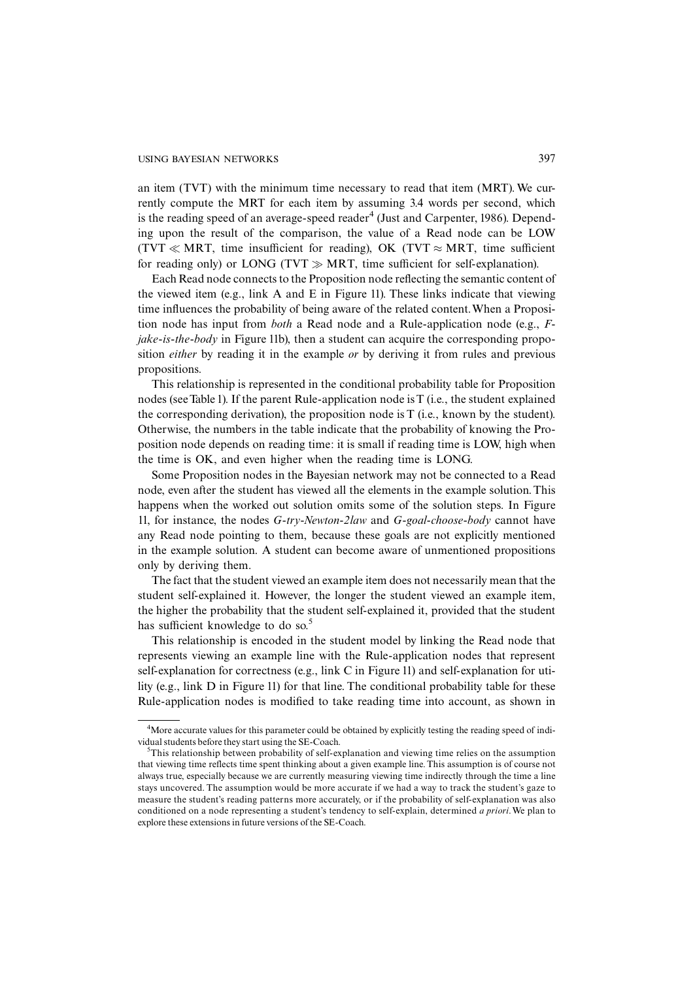an item (TVT) with the minimum time necessary to read that item (MRT).We currently compute the MRT for each item by assuming 3.4 words per second, which is the reading speed of an average-speed reader<sup>4</sup> (Just and Carpenter, 1986). Depending upon the result of the comparison, the value of a Read node can be LOW (TVT  $\ll$  MRT, time insufficient for reading), OK (TVT  $\approx$  MRT, time sufficient for reading only) or LONG (TVT  $\gg$  MRT, time sufficient for self-explanation).

Each Read node connects to the Proposition node reflecting the semantic content of the viewed item (e.g., link A and E in Figure 11). These links indicate that viewing time influences the probability of being aware of the related content. When a Proposition node has input from *both* a Read node and a Rule-application node (e.g.,  $F$ jake-is-the-body in Figure 11b), then a student can acquire the corresponding proposition *either* by reading it in the example *or* by deriving it from rules and previous propositions.

This relationship is represented in the conditional probability table for Proposition nodes (seeTable 1). If the parent Rule-application node is T (i.e., the student explained the corresponding derivation), the proposition node is T (i.e., known by the student). Otherwise, the numbers in the table indicate that the probability of knowing the Proposition node depends on reading time: it is small if reading time is LOW, high when the time is OK, and even higher when the reading time is LONG.

Some Proposition nodes in the Bayesian network may not be connected to a Read node, even after the student has viewed all the elements in the example solution. This happens when the worked out solution omits some of the solution steps. In Figure 11, for instance, the nodes  $G$ -try-Newton-2law and  $G$ -goal-choose-body cannot have any Read node pointing to them, because these goals are not explicitly mentioned in the example solution. A student can become aware of unmentioned propositions only by deriving them.

The fact that the student viewed an example item does not necessarily mean that the student self-explained it. However, the longer the student viewed an example item, the higher the probability that the student self-explained it, provided that the student has sufficient knowledge to do so.<sup>5</sup>

This relationship is encoded in the student model by linking the Read node that represents viewing an example line with the Rule-application nodes that represent self-explanation for correctness (e.g., link C in Figure 11) and self-explanation for utility (e.g., link  $D$  in Figure 11) for that line. The conditional probability table for these Rule-application nodes is modified to take reading time into account, as shown in

<sup>&</sup>lt;sup>4</sup>More accurate values for this parameter could be obtained by explicitly testing the reading speed of individual students before they start using the SE-Coach. <sup>5</sup>

 $^5$ This relationship between probability of self-explanation and viewing time relies on the assumption that viewing time reflects time spent thinking about a given example line. This assumption is of course not always true, especially because we are currently measuring viewing time indirectly through the time a line stays uncovered. The assumption would be more accurate if we had a way to track the student's gaze to measure the student's reading patterns more accurately, or if the probability of self-explanation was also conditioned on a node representing a student's tendency to self-explain, determined a priori. We plan to explore these extensions in future versions of the SE-Coach.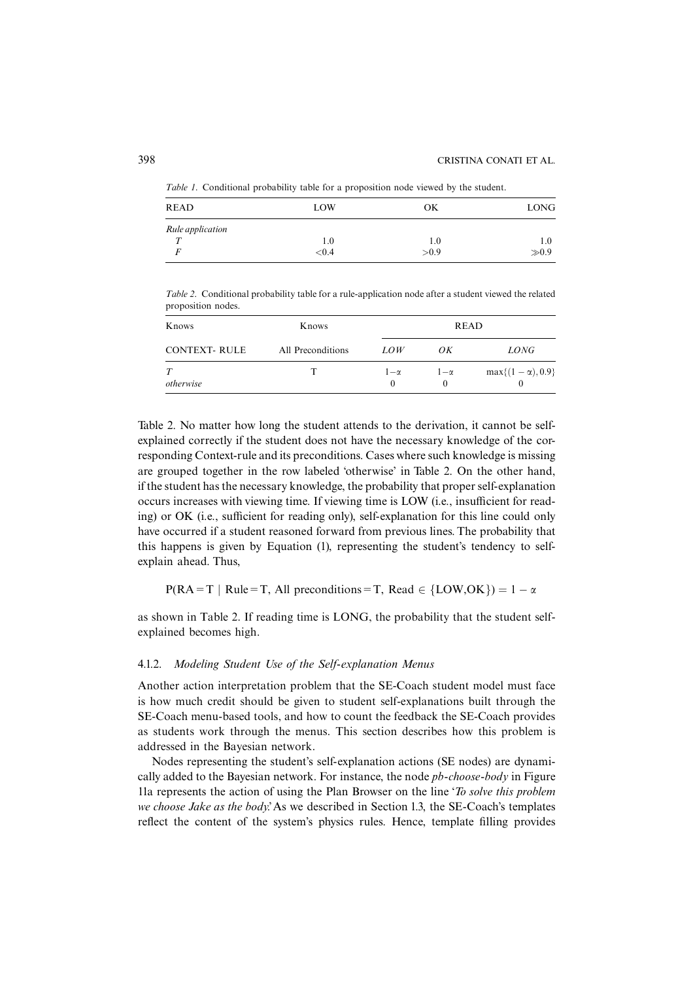Table 1. Conditional probability table for a proposition node viewed by the student.

| <b>READ</b>      | LOW      | ОK    | <b>LONG</b> |
|------------------|----------|-------|-------------|
| Rule application |          |       |             |
| T                | 1.0      | 1.0   | 1.0         |
| F                | ${<}0.4$ | > 0.9 | $\gg 0.9$   |

Table 2. Conditional probability table for a rule-application node after a student viewed the related proposition nodes.

| OK         | LONG                     |
|------------|--------------------------|
| $1-\alpha$ | $max{(1 - \alpha), 0.9}$ |
|            | $^{(1)}$                 |

Table 2. No matter how long the student attends to the derivation, it cannot be selfexplained correctly if the student does not have the necessary knowledge of the corresponding Context-rule and its preconditions. Cases where such knowledge is missing are grouped together in the row labeled 'otherwise' in Table 2. On the other hand, if the student has the necessary knowledge, the probability that proper self-explanation occurs increases with viewing time. If viewing time is LOW (i.e., insufficient for reading) or OK (i.e., sufficient for reading only), self-explanation for this line could only have occurred if a student reasoned forward from previous lines. The probability that this happens is given by Equation (1), representing the student's tendency to selfexplain ahead. Thus,

 $P(RA=T | Rule=T, All preconditions=T, Read \in \{LOW, OK\}) = 1 - \alpha$ 

as shown in Table 2. If reading time is LONG, the probability that the student selfexplained becomes high.

### 4.1.2. Modeling Student Use of the Self-explanation Menus

Another action interpretation problem that the SE-Coach student model must face is how much credit should be given to student self-explanations built through the SE-Coach menu-based tools, and how to count the feedback the SE-Coach provides as students work through the menus. This section describes how this problem is addressed in the Bayesian network.

Nodes representing the student's self-explanation actions (SE nodes) are dynamically added to the Bayesian network. For instance, the node pb-choose-body in Figure 11a represents the action of using the Plan Browser on the line 'To solve this problem we choose Jake as the body.' As we described in Section 1.3, the SE-Coach's templates reflect the content of the system's physics rules. Hence, template filling provides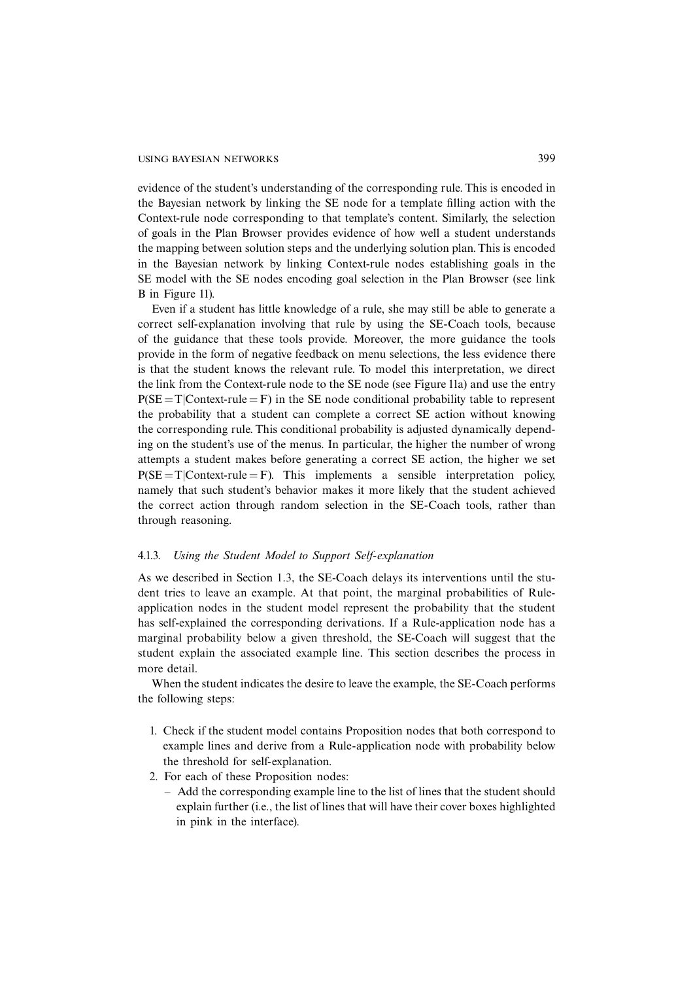evidence of the student's understanding of the corresponding rule. This is encoded in the Bayesian network by linking the SE node for a template ¢lling action with the Context-rule node corresponding to that template's content. Similarly, the selection of goals in the Plan Browser provides evidence of how well a student understands the mapping between solution steps and the underlying solution plan. This is encoded in the Bayesian network by linking Context-rule nodes establishing goals in the SE model with the SE nodes encoding goal selection in the Plan Browser (see link B in Figure 11).

Even if a student has little knowledge of a rule, she may still be able to generate a correct self-explanation involving that rule by using the SE-Coach tools, because of the guidance that these tools provide. Moreover, the more guidance the tools provide in the form of negative feedback on menu selections, the less evidence there is that the student knows the relevant rule. To model this interpretation, we direct the link from the Context-rule node to the SE node (see Figure 11a) and use the entry  $P(SE = T|Context-rule = F)$  in the SE node conditional probability table to represent the probability that a student can complete a correct SE action without knowing the corresponding rule. This conditional probability is adjusted dynamically depending on the student's use of the menus. In particular, the higher the number of wrong attempts a student makes before generating a correct SE action, the higher we set  $P(SE = T|Context-rule = F)$ . This implements a sensible interpretation policy, namely that such student's behavior makes it more likely that the student achieved the correct action through random selection in the SE-Coach tools, rather than through reasoning.

### 4.1.3. Using the Student Model to Support Self-explanation

As we described in Section 1.3, the SE-Coach delays its interventions until the student tries to leave an example. At that point, the marginal probabilities of Ruleapplication nodes in the student model represent the probability that the student has self-explained the corresponding derivations. If a Rule-application node has a marginal probability below a given threshold, the SE-Coach will suggest that the student explain the associated example line. This section describes the process in more detail.

When the student indicates the desire to leave the example, the SE-Coach performs the following steps:

- 1. Check if the student model contains Proposition nodes that both correspond to example lines and derive from a Rule-application node with probability below the threshold for self-explanation.
- 2. For each of these Proposition nodes:
	- Add the corresponding example line to the list of lines that the student should explain further (i.e., the list of lines that will have their cover boxes highlighted in pink in the interface).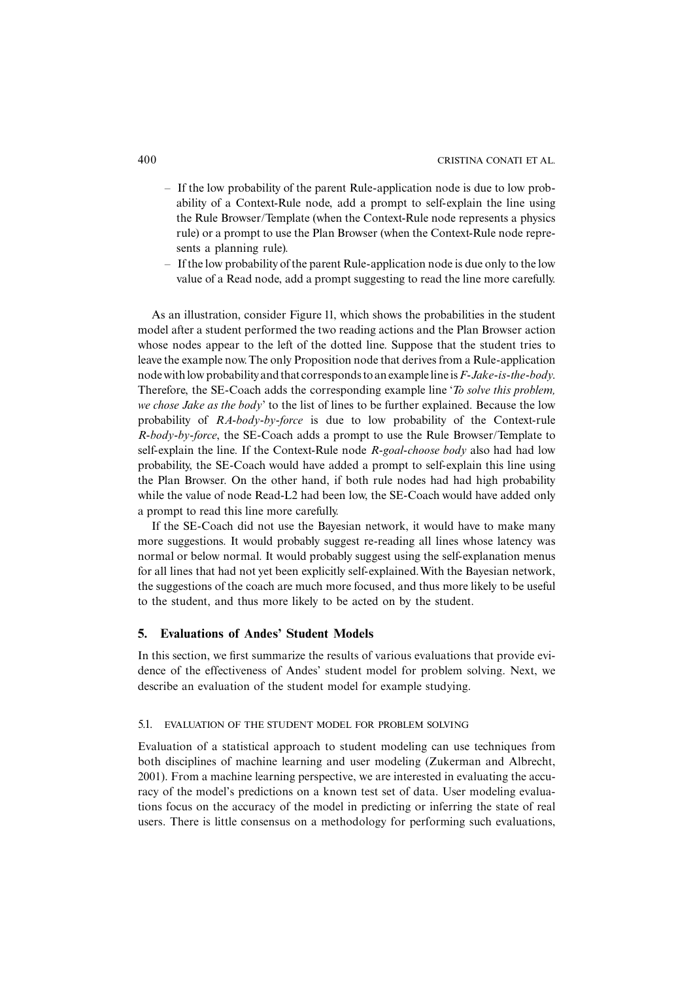- If the low probability of the parent Rule-application node is due to low probability of a Context-Rule node, add a prompt to self-explain the line using the Rule Browser/Template (when the Context-Rule node represents a physics rule) or a prompt to use the Plan Browser (when the Context-Rule node represents a planning rule).
- $-$  If the low probability of the parent Rule-application node is due only to the low value of a Read node, add a prompt suggesting to read the line more carefully.

As an illustration, consider Figure 11, which shows the probabilities in the student model after a student performed the two reading actions and the Plan Browser action whose nodes appear to the left of the dotted line. Suppose that the student tries to leave the example now.The only Proposition node that derives from a Rule-application node with low probability and that corresponds to an example line is F-Jake-is-the-body. Therefore, the SE-Coach adds the corresponding example line 'To solve this problem, we chose Jake as the body' to the list of lines to be further explained. Because the low probability of RA-body-by-force is due to low probability of the Context-rule R-body-by-force, the SE-Coach adds a prompt to use the Rule Browser/Template to self-explain the line. If the Context-Rule node R-goal-choose body also had had low probability, the SE-Coach would have added a prompt to self-explain this line using the Plan Browser. On the other hand, if both rule nodes had had high probability while the value of node Read-L2 had been low, the SE-Coach would have added only a prompt to read this line more carefully.

If the SE-Coach did not use the Bayesian network, it would have to make many more suggestions. It would probably suggest re-reading all lines whose latency was normal or below normal. It would probably suggest using the self-explanation menus forall lines that had not yet been explicitly self-explained.With the Bayesian network, the suggestions of the coach are much more focused, and thus more likely to be useful to the student, and thus more likely to be acted on by the student.

### 5. Evaluations of Andes' Student Models

In this section, we first summarize the results of various evaluations that provide evidence of the effectiveness of Andes' student model for problem solving. Next, we describe an evaluation of the student model for example studying.

### 5.1. EVALUATION OF THE STUDENT MODEL FOR PROBLEM SOLVING

Evaluation of a statistical approach to student modeling can use techniques from both disciplines of machine learning and user modeling (Zukerman and Albrecht, 2001). From a machine learning perspective, we are interested in evaluating the accuracy of the model's predictions on a known test set of data. User modeling evaluations focus on the accuracy of the model in predicting or inferring the state of real users. There is little consensus on a methodology for performing such evaluations,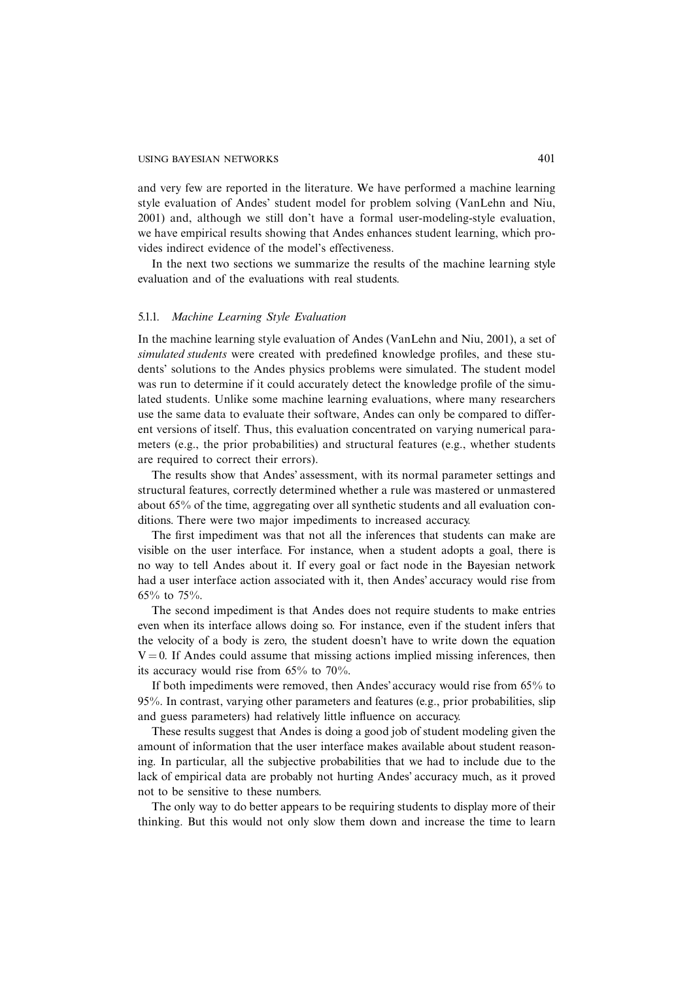and very few are reported in the literature. We have performed a machine learning style evaluation of Andes' student model for problem solving (VanLehn and Niu, 2001)and, although we still don't have a formal user-modeling-style evaluation, we have empirical results showing that Andes enhances student learning, which provides indirect evidence of the model's effectiveness.

In the next two sections we summarize the results of the machine learning style evaluation and of the evaluations with real students.

### 5.1.1. Machine Learning Style Evaluation

In the machine learning style evaluation of Andes (VanLehn and Niu, 2001), a set of simulated students were created with predefined knowledge profiles, and these students' solutions to the Andes physics problems were simulated. The student model was run to determine if it could accurately detect the knowledge profile of the simulated students. Unlike some machine learning evaluations, where many researchers use the same data to evaluate their software, Andes can only be compared to different versions of itself. Thus, this evaluation concentrated on varying numerical parameters (e.g., the prior probabilities) and structural features (e.g., whether students are required to correct their errors).

The results show that Andes' assessment, with its normal parameter settings and structural features, correctly determined whether a rule was mastered or unmastered about 65% of the time, aggregating over all synthetic students and all evaluation conditions. There were two major impediments to increased accuracy.

The first impediment was that not all the inferences that students can make are visible on the user interface. For instance, when a student adopts a goal, there is no way to tell Andes about it. If every goal or fact node in the Bayesian network had a user interface action associated with it, then Andes' accuracy would rise from 65% to 75%.

The second impediment is that Andes does not require students to make entries even when its interface allows doing so. For instance, even if the student infers that the velocity of a body is zero, the student doesn't have to write down the equation  $V = 0$ . If Andes could assume that missing actions implied missing inferences, then its accuracy would rise from 65% to 70%.

If both impediments were removed, then Andes' accuracy would rise from 65% to 95%. In contrast, varying other parameters and features (e.g., prior probabilities, slip and guess parameters) had relatively little influence on accuracy.

These results suggest that Andes is doing a good job of student modeling given the amount of information that the user interface makes available about student reasoning. In particular, all the subjective probabilities that we had to include due to the lack of empirical data are probably not hurting Andes' accuracy much, as it proved not to be sensitive to these numbers.

The only way to do better appears to be requiring students to display more of their thinking. But this would not only slow them down and increase the time to learn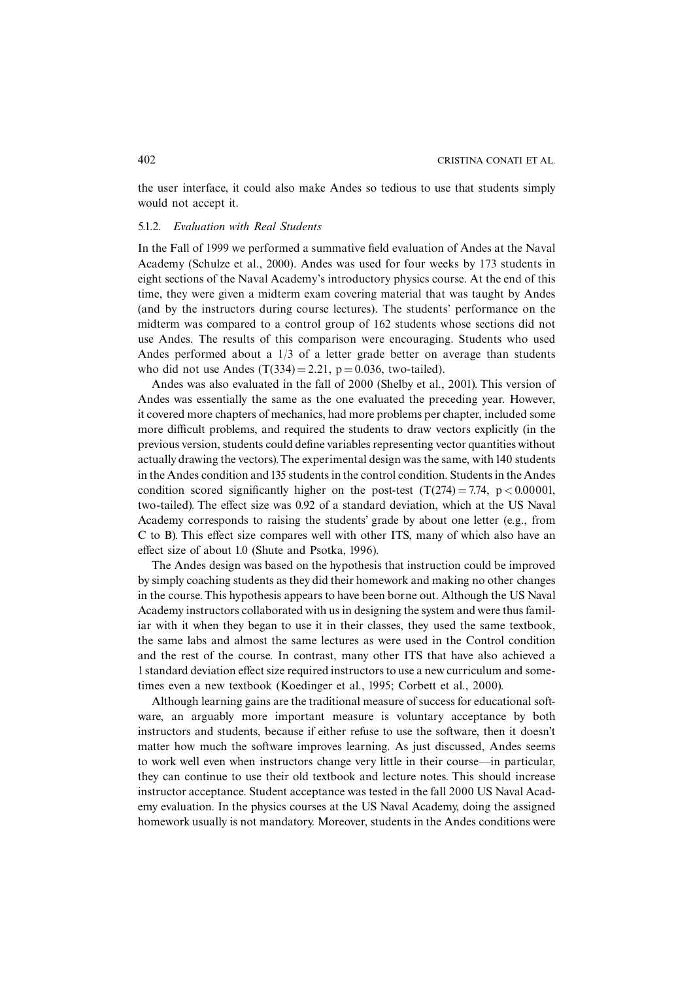the userinterface, it could also make Andes so tedious to use that students simply would not accept it.

### 5.1.2. Evaluation with Real Students

In the Fall of 1999 we performed a summative field evaluation of Andes at the Naval Academy (Schulze et al., 2000). Andes was used for four weeks by 173 students in eight sections of the Naval Academy's introductory physics course. At the end of this time, they were given a midterm exam covering material that was taught by Andes (and by the instructors during course lectures). The students' performance on the midterm was compared to a control group of 162 students whose sections did not use Andes. The results of this comparison were encouraging. Students who used Andes performed about a 1/3 of a letter grade better on average than students who did not use Andes  $(T(334) = 2.21, p = 0.036,$  two-tailed).

Andes was also evaluated in the fall of 2000 (Shelby et al., 2001). This version of Andes was essentially the same as the one evaluated the preceding year. However, it covered more chapters of mechanics, had more problems per chapter, included some more difficult problems, and required the students to draw vectors explicitly (in the previous version, students could de¢ne variables representing vector quantities without actually drawing the vectors).The experimental design was the same, with 140 students in the Andes condition and 135 students in the control condition. Students in the Andes condition scored significantly higher on the post-test  $(T(274) = 7.74, p < 0.00001,$ two-tailed). The effect size was 0.92 of a standard deviation, which at the US Naval Academy corresponds to raising the students' grade by about one letter (e.g., from C to B). This effect size compares well with other ITS, many of which also have an effect size of about 1.0 (Shute and Psotka, 1996).

The Andes design was based on the hypothesis that instruction could be improved by simply coaching students as they did their homework and making no other changes in the course. This hypothesis appears to have been borne out. Although the US Naval Academy instructors collaborated with us in designing the system and were thus familiar with it when they began to use it in their classes, they used the same textbook, the same labs and almost the same lectures as were used in the Control condition and the rest of the course. In contrast, many other ITS that have also achieved a 1 standard deviation effect size required instructors to use a new curriculum and sometimes even a new textbook (Koedinger et al., 1995; Corbett et al., 2000).

Although learning gains are the traditional measure of success for educational software, an arguably more important measure is voluntary acceptance by both instructors and students, because if either refuse to use the software, then it doesn't matter how much the software improves learning. As just discussed, Andes seems to work well even when instructors change very little in their course—in particular, they can continue to use their old textbook and lecture notes. This should increase instructor acceptance. Student acceptance was tested in the fall 2000 US Naval Academy evaluation. In the physics courses at the US Naval Academy, doing the assigned homework usually is not mandatory. Moreover, students in the Andes conditions were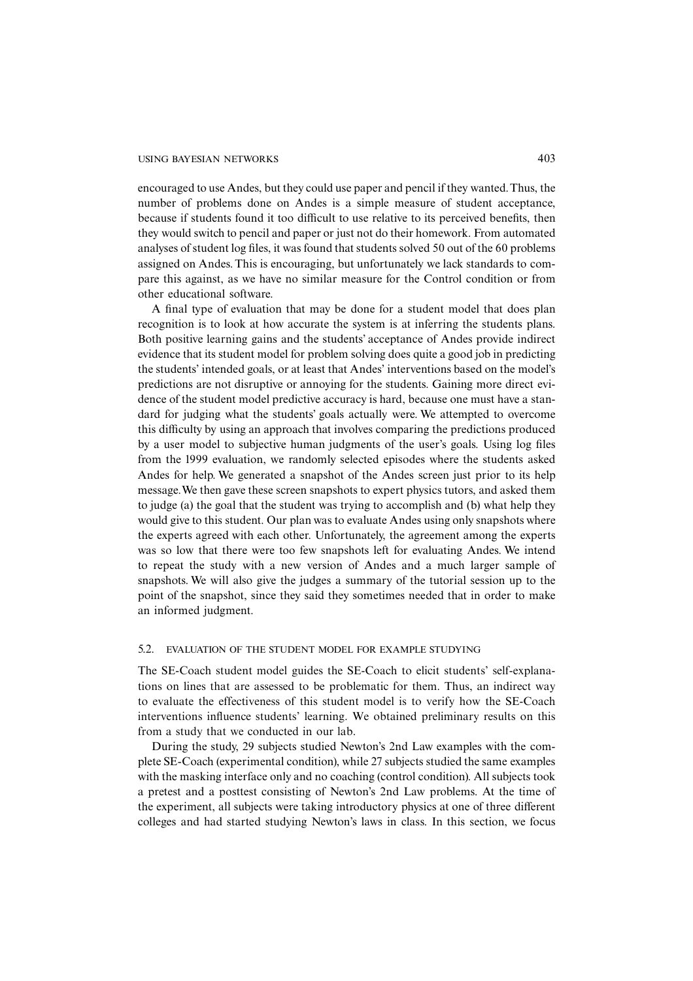encouraged to use Andes, but they could use paper and pencil if they wanted.Thus, the number of problems done on Andes is a simple measure of student acceptance, because if students found it too difficult to use relative to its perceived benefits, then they would switch to pencil and paper or just not do their homework. From automated analyses of student log files, it was found that students solved 50 out of the 60 problems assigned on Andes. This is encouraging, but unfortunately we lack standards to compare this against, as we have no similar measure for the Control condition or from other educational software.

A final type of evaluation that may be done for a student model that does plan recognition is to look at how accurate the system is at inferring the students plans. Both positive learning gains and the students' acceptance of Andes provide indirect evidence that its student model for problem solving does quite a good job in predicting the students' intended goals, orat least that Andes' interventions based on the model's predictions are not disruptive or annoying for the students. Gaining more direct evidence of the student model predictive accuracy is hard, because one must have a standard for judging what the students' goals actually were. We attempted to overcome this difficulty by using an approach that involves comparing the predictions produced by a user model to subjective human judgments of the user's goals. Using log files from the 1999 evaluation, we randomly selected episodes where the students asked Andes for help. We generated a snapshot of the Andes screen just prior to its help message.We then gave these screen snapshots to expert physics tutors, and asked them to judge (a) the goal that the student was trying to accomplish and (b) what help they would give to this student. Our plan was to evaluate Andes using only snapshots where the experts agreed with each other. Unfortunately, the agreement among the experts was so low that there were too few snapshots left for evaluating Andes. We intend to repeat the study with a new version of Andes and a much larger sample of snapshots. We will also give the judges a summary of the tutorial session up to the point of the snapshot, since they said they sometimes needed that in order to make an informed judgment.

### 5.2. EVALUATION OF THE STUDENT MODEL FOR EXAMPLE STUDYING

The SE-Coach student model guides the SE-Coach to elicit students' self-explanations on lines that are assessed to be problematic for them. Thus, an indirect way to evaluate the effectiveness of this student model is to verify how the SE-Coach interventions influence students' learning. We obtained preliminary results on this from a study that we conducted in our lab.

During the study, 29 subjects studied Newton's 2nd Law examples with the complete SE-Coach (experimental condition), while 27 subjects studied the same examples with the masking interface only and no coaching (control condition). All subjects took a pretest and a posttest consisting of Newton's 2nd Law problems. At the time of the experiment, all subjects were taking introductory physics at one of three different colleges and had started studying Newton's laws in class. In this section, we focus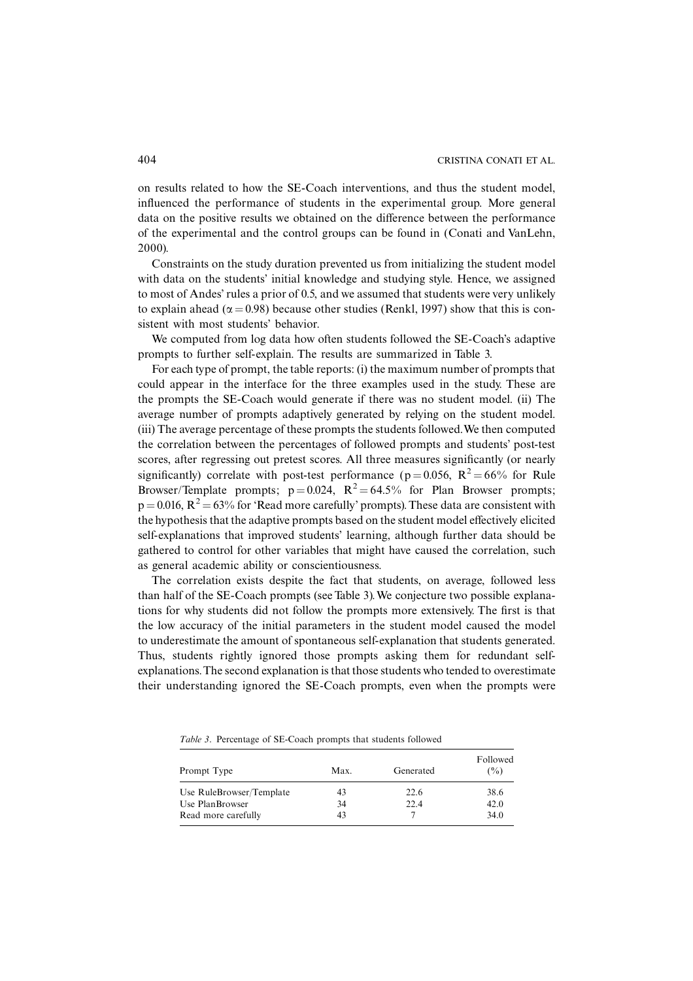on results related to how the SE-Coach interventions, and thus the student model, influenced the performance of students in the experimental group. More general data on the positive results we obtained on the difference between the performance of the experimental and the control groups can be found in (Conati and VanLehn, 2000).

Constraints on the study duration prevented us from initializing the student model with data on the students' initial knowledge and studying style. Hence, we assigned to most of Andes' rules a prior of 0.5, and we assumed that students were very unlikely to explain ahead ( $\alpha$  = 0.98) because other studies (Renkl, 1997) show that this is consistent with most students' behavior.

We computed from log data how often students followed the SE-Coach's adaptive prompts to further self-explain. The results are summarized in Table 3.

For each type of prompt, the table reports: (i) the maximum number of prompts that could appear in the interface for the three examples used in the study. These are the prompts the SE-Coach would generate if there was no student model. (ii) The average number of prompts adaptively generated by relying on the student model. (iii) The average percentage of these prompts the students followed.We then computed the correlation between the percentages of followed prompts and students' post-test scores, after regressing out pretest scores. All three measures significantly (or nearly significantly) correlate with post-test performance ( $p = 0.056$ ,  $R^2 = 66\%$  for Rule Browser/Template prompts;  $p = 0.024$ ,  $R^2 = 64.5\%$  for Plan Browser prompts;  $p = 0.016$ ,  $R^2 = 63\%$  for 'Read more carefully' prompts). These data are consistent with the hypothesis that the adaptive prompts based on the student model effectively elicited self-explanations that improved students' learning, although further data should be gathered to control for other variables that might have caused the correlation, such as general academic ability or conscientiousness.

The correlation exists despite the fact that students, on average, followed less than half of the SE-Coach prompts (see Table 3).We conjecture two possible explanations for why students did not follow the prompts more extensively. The first is that the low accuracy of the initial parameters in the student model caused the model to underestimate the amount of spontaneous self-explanation that students generated. Thus, students rightly ignored those prompts asking them for redundant selfexplanations.The second explanation is that those students who tended to overestimate their understanding ignored the SE-Coach prompts, even when the prompts were

Table 3. Percentage of SE-Coach prompts that students followed

| Prompt Type              | Max. | Generated | Followed<br>$($ %) |
|--------------------------|------|-----------|--------------------|
| Use RuleBrowser/Template | 43   | 22.6      | 38.6               |
| Use PlanBrowser          | 34   | 22.4      | 42.0               |
| Read more carefully      | 43   |           | 34.0               |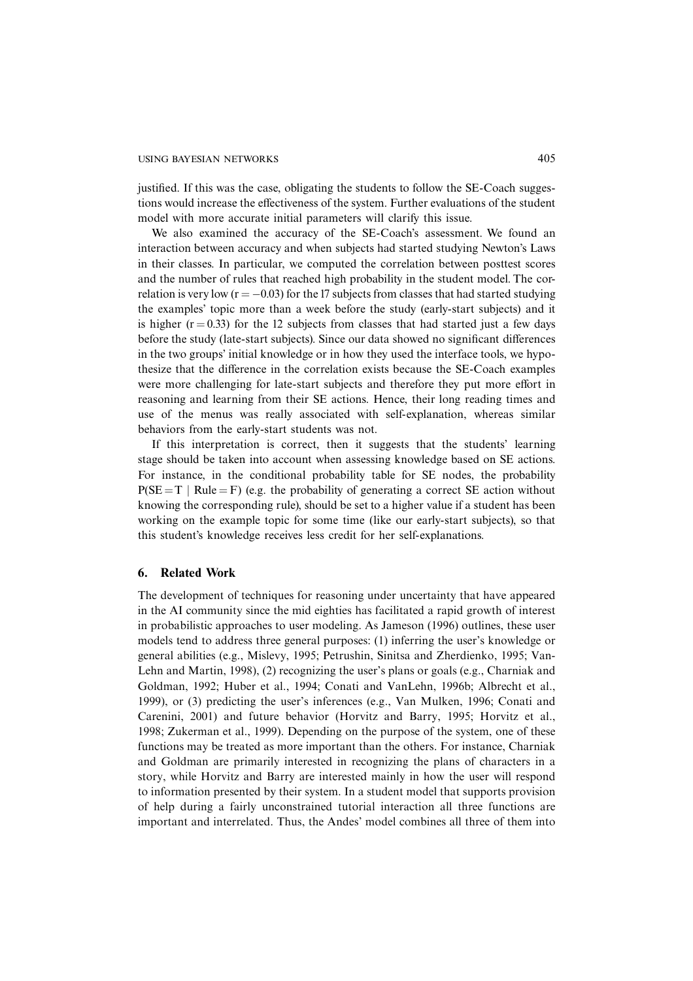justified. If this was the case, obligating the students to follow the SE-Coach suggestions would increase the effectiveness of the system. Further evaluations of the student model with more accurate initial parameters will clarify this issue.

We also examined the accuracy of the SE-Coach's assessment. We found an interaction between accuracy and when subjects had started studying Newton's Laws in their classes. In particular, we computed the correlation between posttest scores and the number of rules that reached high probability in the student model. The correlation is very low  $(r = -0.03)$  for the 17 subjects from classes that had started studying the examples' topic more than a week before the study (early-start subjects) and it is higher ( $r = 0.33$ ) for the 12 subjects from classes that had started just a few days before the study (late-start subjects). Since our data showed no significant differences in the two groups' initial knowledge or in how they used the interface tools, we hypothesize that the difference in the correlation exists because the SE-Coach examples were more challenging for late-start subjects and therefore they put more effort in reasoning and learning from their SE actions. Hence, their long reading times and use of the menus was really associated with self-explanation, whereas similar behaviors from the early-start students was not.

If this interpretation is correct, then it suggests that the students' learning stage should be taken into account when assessing knowledge based on SE actions. For instance, in the conditional probability table for SE nodes, the probability  $P(SE = T | Rule = F)$  (e.g. the probability of generating a correct SE action without knowing the corresponding rule), should be set to a higher value if a student has been working on the example topic for some time (like our early-start subjects), so that this student's knowledge receives less credit for her self-explanations.

### 6. Related Work

The development of techniques for reasoning under uncertainty that have appeared in the AI community since the mid eighties has facilitated a rapid growth of interest in probabilistic approaches to user modeling. As Jameson (1996) outlines, these user models tend to address three general purposes: (1) inferring the user's knowledge or general abilities (e.g., Mislevy, 1995; Petrushin, Sinitsa and Zherdienko, 1995; Van-Lehn and Martin, 1998), (2) recognizing the user's plans or goals (e.g., Charniak and Goldman, 1992; Huber et al., 1994; Conati and VanLehn, 1996b; Albrecht et al., 1999), or (3) predicting the user's inferences (e.g., Van Mulken, 1996; Conati and Carenini, 2001) and future behavior (Horvitz and Barry, 1995; Horvitz et al., 1998; Zukerman et al., 1999). Depending on the purpose of the system, one of these functions may be treated as more important than the others. For instance, Charniak and Goldman are primarily interested in recognizing the plans of characters in a story, while Horvitz and Barry are interested mainly in how the user will respond to information presented by their system. In a student model that supports provision of help during a fairly unconstrained tutorial interaction all three functions are important and interrelated. Thus, the Andes' model combines all three of them into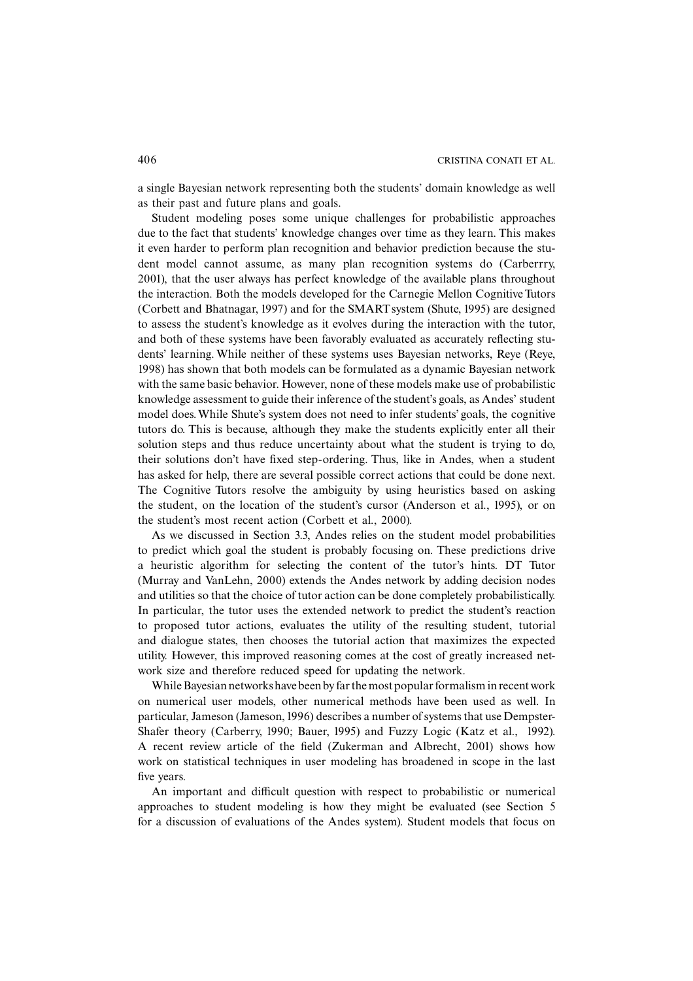a single Bayesian network representing both the students' domain knowledge as well as their past and future plans and goals.

Student modeling poses some unique challenges for probabilistic approaches due to the fact that students' knowledge changes over time as they learn. This makes it even harder to perform plan recognition and behavior prediction because the student model cannot assume, as many plan recognition systems do (Carberrry, 2001), that the useralways has perfect knowledge of the available plans throughout the interaction. Both the models developed for the Carnegie Mellon Cognitive Tutors (Corbett and Bhatnagar, 1997) and for the SMART system (Shute, 1995) are designed to assess the student's knowledge as it evolves during the interaction with the tutor, and both of these systems have been favorably evaluated as accurately reflecting students' learning. While neither of these systems uses Bayesian networks, Reye (Reye, 1998) has shown that both models can be formulated as a dynamic Bayesian network with the same basic behavior. However, none of these models make use of probabilistic knowledge assessment to guide theirinference of the student's goals, as Andes' student model does.While Shute's system does not need to inferstudents' goals, the cognitive tutors do. This is because, although they make the students explicitly enter all their solution steps and thus reduce uncertainty about what the student is trying to do, their solutions don't have fixed step-ordering. Thus, like in Andes, when a student has asked for help, there are several possible correct actions that could be done next. The Cognitive Tutors resolve the ambiguity by using heuristics based on asking the student, on the location of the student's cursor (Anderson et al., 1995), or on the student's most recent action (Corbett et al., 2000).

As we discussed in Section 3.3, Andes relies on the student model probabilities to predict which goal the student is probably focusing on. These predictions drive a heuristic algorithm for selecting the content of the tutor's hints. DT Tutor (Murray and VanLehn, 2000) extends the Andes network by adding decision nodes and utilities so that the choice of tutoraction can be done completely probabilistically. In particular, the tutor uses the extended network to predict the student's reaction to proposed tutor actions, evaluates the utility of the resulting student, tutorial and dialogue states, then chooses the tutorial action that maximizes the expected utility. However, this improved reasoning comes at the cost of greatly increased network size and therefore reduced speed for updating the network.

While Bayesian networks havebeen by far the most popular formalism in recent work on numerical user models, other numerical methods have been used as well. In particular, Jameson (Jameson, 1996) describes a number of systems that use Dempster-Shafer theory (Carberry, 1990; Bauer, 1995) and Fuzzy Logic (Katz et al., 1992). A recent review article of the field (Zukerman and Albrecht, 2001) shows how work on statistical techniques in user modeling has broadened in scope in the last five years.

An important and difficult question with respect to probabilistic or numerical approaches to student modeling is how they might be evaluated (see Section 5 for a discussion of evaluations of the Andes system). Student models that focus on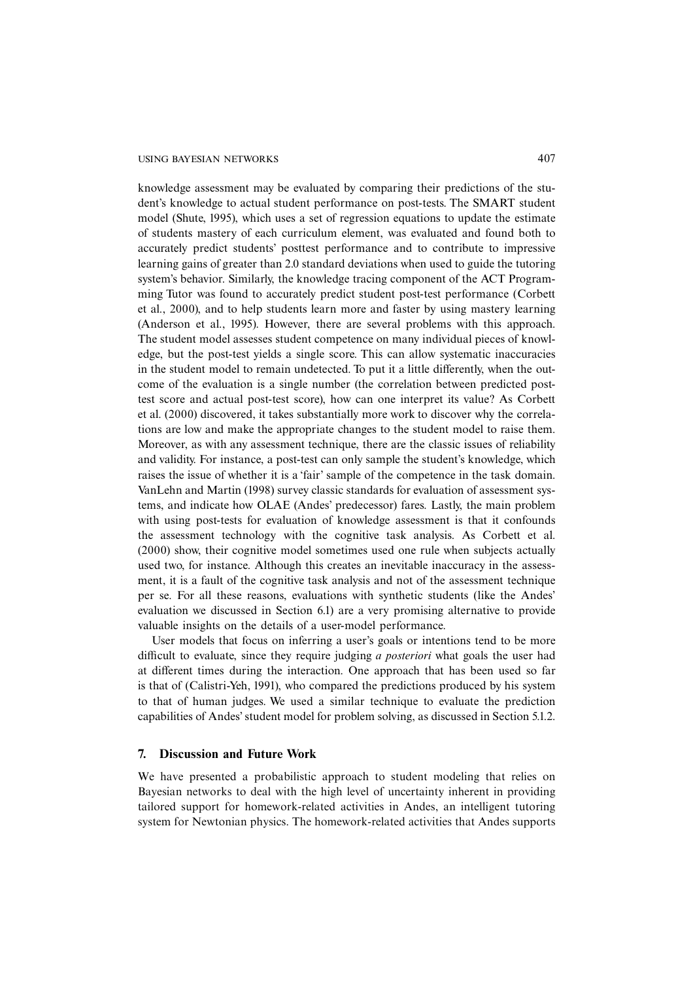knowledge assessment may be evaluated by comparing their predictions of the student's knowledge to actual student performance on post-tests. The SMART student model (Shute, 1995), which uses a set of regression equations to update the estimate of students mastery of each curriculum element, was evaluated and found both to accurately predict students' posttest performance and to contribute to impressive learning gains of greater than 2.0 standard deviations when used to guide the tutoring system's behavior. Similarly, the knowledge tracing component of the ACT Programming Tutor was found to accurately predict student post-test performance (Corbett et al., 2000), and to help students learn more and faster by using mastery learning (Anderson et al., 1995). However, there are several problems with this approach. The student model assesses student competence on many individual pieces of knowledge, but the post-test yields a single score. This can allow systematic inaccuracies in the student model to remain undetected. To put it a little differently, when the outcome of the evaluation is a single number (the correlation between predicted posttest score and actual post-test score), how can one interpret its value? As Corbett et al. (2000) discovered, it takes substantially more work to discover why the correlations are low and make the appropriate changes to the student model to raise them. Moreover, as with any assessment technique, there are the classic issues of reliability and validity. For instance, a post-test can only sample the student's knowledge, which raises the issue of whether it is a 'fair' sample of the competence in the task domain. VanLehn and Martin (1998) survey classic standards for evaluation of assessment systems, and indicate how OLAE (Andes' predecessor) fares. Lastly, the main problem with using post-tests for evaluation of knowledge assessment is that it confounds the assessment technology with the cognitive task analysis. As Corbett et al.  $(2000)$  show, their cognitive model sometimes used one rule when subjects actually used two, for instance. Although this creates an inevitable inaccuracy in the assessment, it is a fault of the cognitive task analysis and not of the assessment technique perse. Forall these reasons, evaluations with synthetic students (like the Andes' evaluation we discussed in Section 6.1) are a very promising alternative to provide valuable insights on the details of a user-model performance.

User models that focus on inferring a user's goals or intentions tend to be more difficult to evaluate, since they require judging  $a$  posteriori what goals the user had at different times during the interaction. One approach that has been used so far is that of (Calistri-Yeh, 1991), who compared the predictions produced by his system to that of human judges. We used a similar technique to evaluate the prediction capabilities of Andes' student model for problem solving, as discussed in Section 5.1.2.

### 7. Discussion and Future Work

We have presented a probabilistic approach to student modeling that relies on Bayesian networks to deal with the high level of uncertainty inherent in providing tailored support for homework-related activities in Andes, an intelligent tutoring system for Newtonian physics. The homework-related activities that Andes supports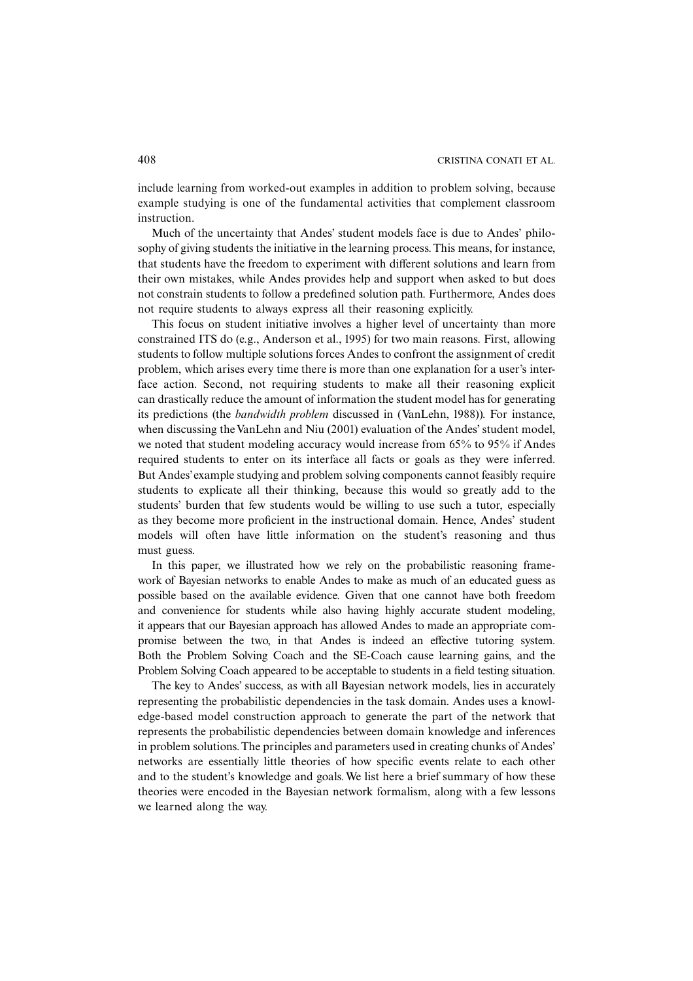include learning from worked-out examples in addition to problem solving, because example studying is one of the fundamental activities that complement classroom instruction.

Much of the uncertainty that Andes' student models face is due to Andes' philosophy of giving students the initiative in the learning process.This means, for instance, that students have the freedom to experiment with different solutions and learn from their own mistakes, while Andes provides help and support when asked to but does not constrain students to follow a predefined solution path. Furthermore, Andes does not require students to always express all their reasoning explicitly.

This focus on student initiative involves a higher level of uncertainty than more constrained ITS do (e.g., Anderson et al., 1995) for two main reasons. First, allowing students to follow multiple solutions forces Andes to confront the assignment of credit problem, which arises every time there is more than one explanation for a user's interface action. Second, not requiring students to make all their reasoning explicit can drastically reduce the amount of information the student model has for generating its predictions (the *bandwidth problem* discussed in (VanLehn, 1988)). For instance, when discussing the VanLehn and Niu (2001) evaluation of the Andes' student model, we noted that student modeling accuracy would increase from 65% to 95% if Andes required students to enter on its interface all facts or goals as they were inferred. But Andes'example studying and problem solving components cannot feasibly require students to explicate all their thinking, because this would so greatly add to the students' burden that few students would be willing to use such a tutor, especially as they become more proficient in the instructional domain. Hence, Andes' student models will often have little information on the student's reasoning and thus must guess.

In this paper, we illustrated how we rely on the probabilistic reasoning framework of Bayesian networks to enable Andes to make as much of an educated guess as possible based on the available evidence. Given that one cannot have both freedom and convenience for students while also having highly accurate student modeling, it appears that our Bayesian approach has allowed Andes to made an appropriate compromise between the two, in that Andes is indeed an effective tutoring system. Both the Problem Solving Coach and the SE-Coach cause learning gains, and the Problem Solving Coach appeared to be acceptable to students in a field testing situation.

The key to Andes' success, as with all Bayesian network models, lies in accurately representing the probabilistic dependencies in the task domain. Andes uses a knowledge-based model construction approach to generate the part of the network that represents the probabilistic dependencies between domain knowledge and inferences in problem solutions.The principles and parameters used in creating chunks of Andes' networks are essentially little theories of how specific events relate to each other and to the student's knowledge and goals.We list here a brief summary of how these theories were encoded in the Bayesian network formalism, along with a few lessons we learned along the way.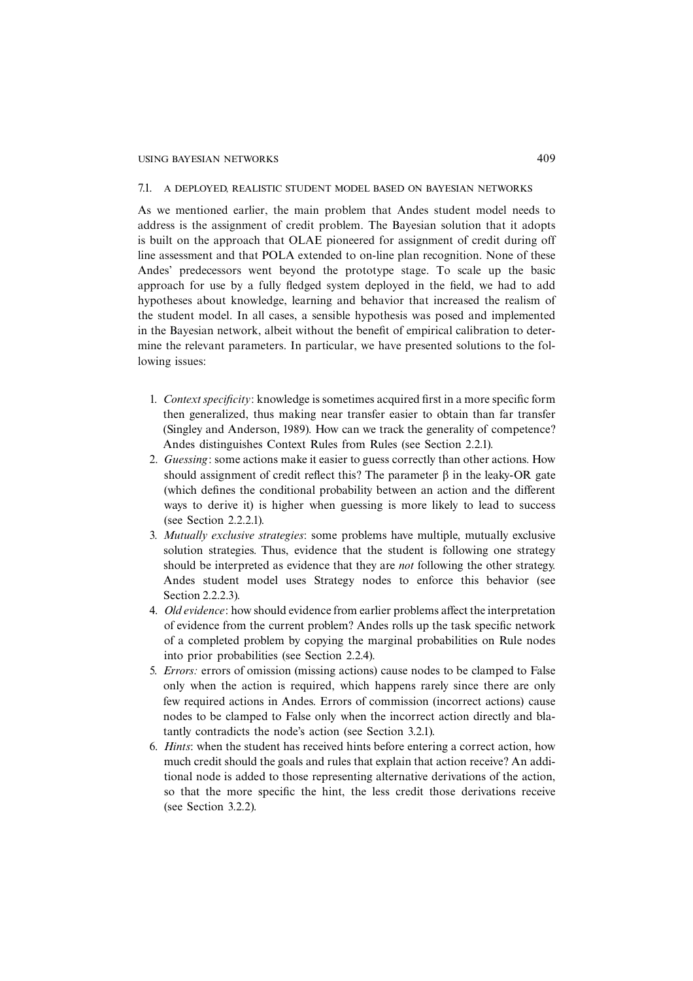### 7.1. A DEPLOYED, REALISTIC STUDENT MODEL BASED ON BAYESIAN NETWORKS

As we mentioned earlier, the main problem that Andes student model needs to address is the assignment of credit problem. The Bayesian solution that it adopts is built on the approach that OLAE pioneered for assignment of credit during off line assessment and that POLA extended to on-line plan recognition. None of these Andes' predecessors went beyond the prototype stage. To scale up the basic approach for use by a fully fledged system deployed in the field, we had to add hypotheses about knowledge, learning and behavior that increased the realism of the student model. In all cases, a sensible hypothesis was posed and implemented in the Bayesian network, albeit without the benefit of empirical calibration to determine the relevant parameters. In particular, we have presented solutions to the following issues:

- 1. Context specificity: knowledge is sometimes acquired first in a more specific form then generalized, thus making near transfer easier to obtain than far transfer (Singley and Anderson, 1989). How can we track the generality of competence? Andes distinguishes Context Rules from Rules (see Section 2.2.1).
- 2. Guessing: some actions make it easier to guess correctly than other actions. How should assignment of credit reflect this? The parameter  $\beta$  in the leaky-OR gate (which defines the conditional probability between an action and the different ways to derive it) is higher when guessing is more likely to lead to success (see Section 2.2.2.1).
- 3. Mutually exclusive strategies: some problems have multiple, mutually exclusive solution strategies. Thus, evidence that the student is following one strategy should be interpreted as evidence that they are *not* following the other strategy. Andes student model uses Strategy nodes to enforce this behavior (see Section 2.2.2.3).
- 4. Old evidence: how should evidence from earlier problems affect the interpretation of evidence from the current problem? Andes rolls up the task specific network of a completed problem by copying the marginal probabilities on Rule nodes into prior probabilities (see Section 2.2.4).
- 5. Errors: errors of omission (missing actions) cause nodes to be clamped to False only when the action is required, which happens rarely since there are only few required actions in Andes. Errors of commission (incorrect actions) cause nodes to be clamped to False only when the incorrect action directly and blatantly contradicts the node's action (see Section 3.2.1).
- 6. Hints: when the student has received hints before entering a correct action, how much credit should the goals and rules that explain that action receive? An additional node is added to those representing alternative derivations of the action, so that the more specific the hint, the less credit those derivations receive (see Section 3.2.2).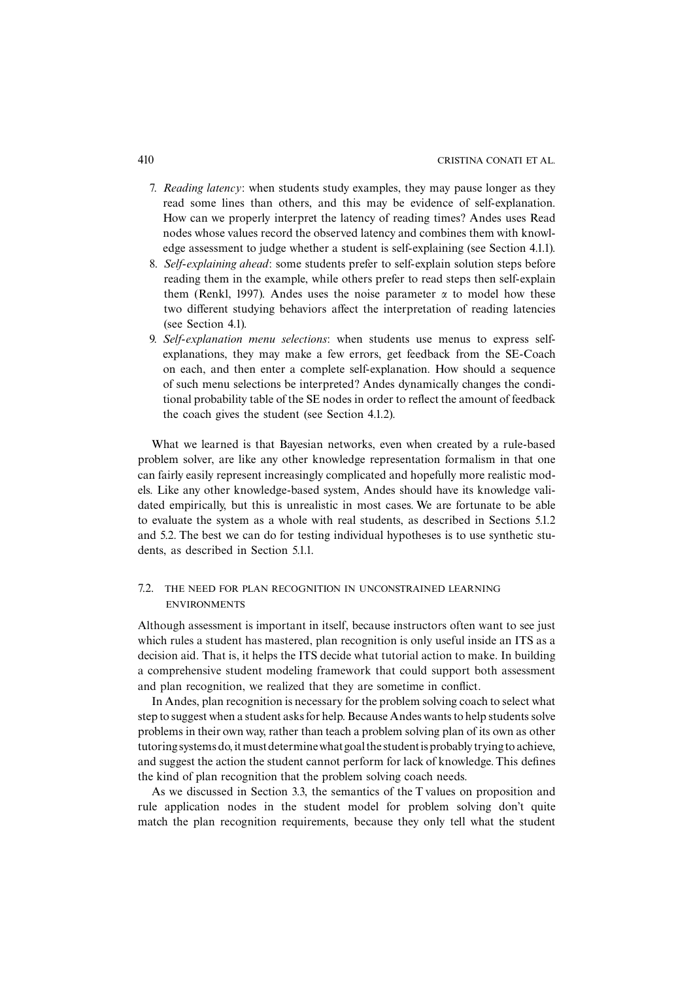- 7. Reading latency: when students study examples, they may pause longer as they read some lines than others, and this may be evidence of self-explanation. How can we properly interpret the latency of reading times? Andes uses Read nodes whose values record the observed latency and combines them with knowledge assessment to judge whether a student is self-explaining (see Section 4.1.1).
- 8. Self-explaining ahead: some students prefer to self-explain solution steps before reading them in the example, while others prefer to read steps then self-explain them (Renkl, 1997). Andes uses the noise parameter  $\alpha$  to model how these two different studying behaviors affect the interpretation of reading latencies (see Section 4.1).
- 9. Self-explanation menu selections: when students use menus to express selfexplanations, they may make a few errors, get feedback from the SE-Coach on each, and then enter a complete self-explanation. How should a sequence of such menu selections be interpreted? Andes dynamically changes the conditional probability table of the SE nodes in order to reflect the amount of feedback the coach gives the student (see Section 4.1.2).

What we learned is that Bayesian networks, even when created by a rule-based problem solver, are like any other knowledge representation formalism in that one can fairly easily represent increasingly complicated and hopefully more realistic models. Like any other knowledge-based system, Andes should have its knowledge validated empirically, but this is unrealistic in most cases. We are fortunate to be able to evaluate the system as a whole with real students, as described in Sections 5.1.2 and 5.2. The best we can do for testing individual hypotheses is to use synthetic students, as described in Section 5.1.1.

### 7.2. THE NEED FOR PLAN RECOGNITION IN UNCONSTRAINED LEARNING ENVIRONMENTS

Although assessment is important in itself, because instructors often want to see just which rules a student has mastered, plan recognition is only useful inside an ITS as a decision aid. That is, it helps the ITS decide what tutorial action to make. In building a comprehensive student modeling framework that could support both assessment and plan recognition, we realized that they are sometime in conflict.

In Andes, plan recognition is necessary for the problem solving coach to select what step to suggest when a student asks forhelp. Because Andes wants to help students solve problems in their own way, rather than teach a problem solving plan of its own as other tutoring systems do, it must determine what goal the student is probably trying to achieve, and suggest the action the student cannot perform for lack of knowledge. This defines the kind of plan recognition that the problem solving coach needs.

As we discussed in Section 3.3, the semantics of the T values on proposition and rule application nodes in the student model for problem solving don't quite match the plan recognition requirements, because they only tell what the student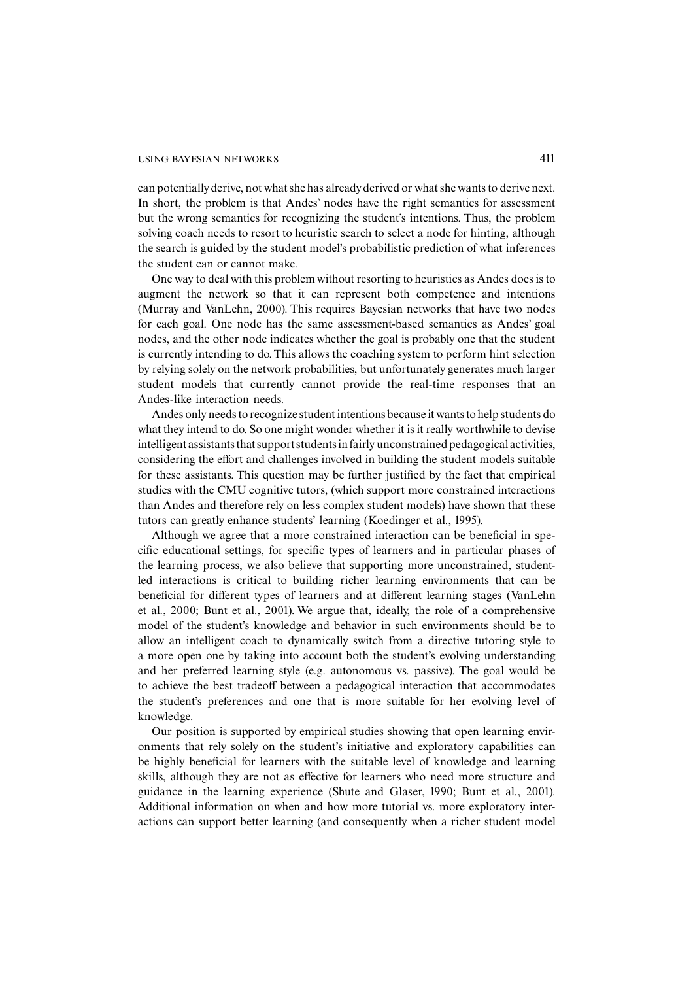can potentially derive, not what she has already derived or what she wants to derive next. In short, the problem is that Andes' nodes have the right semantics for assessment but the wrong semantics for recognizing the student's intentions. Thus, the problem solving coach needs to resort to heuristic search to select a node for hinting, although the search is guided by the student model's probabilistic prediction of what inferences the student can or cannot make.

One way to deal with this problem without resorting to heuristics as Andes does is to augment the network so that it can represent both competence and intentions (Murray and VanLehn, 2000). This requires Bayesian networks that have two nodes for each goal. One node has the same assessment-based semantics as Andes' goal nodes, and the other node indicates whether the goal is probably one that the student is currently intending to do. This allows the coaching system to perform hint selection by relying solely on the network probabilities, but unfortunately generates much larger student models that currently cannot provide the real-time responses that an Andes-like interaction needs.

Andes only needs to recognize student intentions because it wants to help students do what they intend to do. So one might wonder whether it is it really worthwhile to devise intelligent assistants that support students in fairly unconstrained pedagogical activities, considering the effort and challenges involved in building the student models suitable for these assistants. This question may be further justified by the fact that empirical studies with the CMU cognitive tutors, (which support more constrained interactions than Andes and therefore rely on less complex student models) have shown that these tutors can greatly enhance students' learning (Koedinger et al., 1995).

Although we agree that a more constrained interaction can be beneficial in specific educational settings, for specific types of learners and in particular phases of the learning process, we also believe that supporting more unconstrained, studentled interactions is critical to building richer learning environments that can be beneficial for different types of learners and at different learning stages (VanLehn et al., 2000; Bunt et al., 2001). We argue that, ideally, the role of a comprehensive model of the student's knowledge and behavior in such environments should be to allow an intelligent coach to dynamically switch from a directive tutoring style to a more open one by taking into account both the student's evolving understanding and her preferred learning style (e.g. autonomous vs. passive). The goal would be to achieve the best tradeoff between a pedagogical interaction that accommodates the student's preferences and one that is more suitable for her evolving level of knowledge.

Our position is supported by empirical studies showing that open learning environments that rely solely on the student's initiative and exploratory capabilities can be highly beneficial for learners with the suitable level of knowledge and learning skills, although they are not as effective for learners who need more structure and guidance in the learning experience (Shute and Glaser, 1990; Bunt et al., 2001). Additional information on when and how more tutorial vs. more exploratory interactions can support better learning (and consequently when a richer student model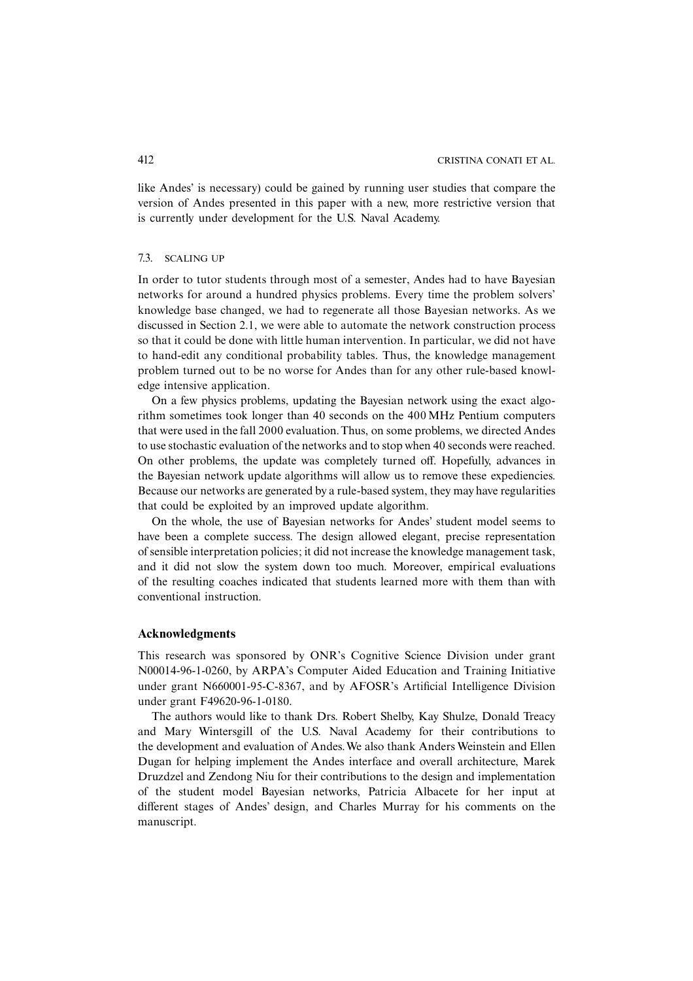like Andes' is necessary) could be gained by running user studies that compare the version of Andes presented in this paper with a new, more restrictive version that is currently under development for the U.S. Naval Academy.

### 7.3. SCALING UP

In order to tutor students through most of a semester, Andes had to have Bayesian networks for around a hundred physics problems. Every time the problem solvers' knowledge base changed, we had to regenerate all those Bayesian networks. As we discussed in Section 2.1, we were able to automate the network construction process so that it could be done with little human intervention. In particular, we did not have to hand-edit any conditional probability tables. Thus, the knowledge management problem turned out to be no worse for Andes than for any other rule-based knowledge intensive application.

On a few physics problems, updating the Bayesian network using the exact algorithm sometimes took longer than 40 seconds on the 400 MHz Pentium computers that were used in the fall 2000 evaluation.Thus, on some problems, we directed Andes to use stochastic evaluation of the networks and to stop when 40 seconds were reached. On other problems, the update was completely turned off. Hopefully, advances in the Bayesian network update algorithms will allow us to remove these expediencies. Because our networks are generated by a rule-based system, they may have regularities that could be exploited by an improved update algorithm.

On the whole, the use of Bayesian networks for Andes' student model seems to have been a complete success. The design allowed elegant, precise representation of sensible interpretation policies; it did not increase the knowledge management task, and it did not slow the system down too much. Moreover, empirical evaluations of the resulting coaches indicated that students learned more with them than with conventional instruction.

### Acknowledgments

This research was sponsored by ONR's Cognitive Science Division under grant N00014-96-1-0260, by ARPA's Computer Aided Education and Training Initiative under grant N660001-95-C-8367, and by AFOSR's Artificial Intelligence Division under grant F49620-96-1-0180.

The authors would like to thank Drs. Robert Shelby, Kay Shulze, Donald Treacy and Mary Wintersgill of the U.S. Naval Academy for their contributions to the development and evaluation of Andes.We also thank Anders Weinstein and Ellen Dugan for helping implement the Andes interface and overall architecture, Marek Druzdzel and Zendong Niu for their contributions to the design and implementation of the student model Bayesian networks, Patricia Albacete for her input at different stages of Andes' design, and Charles Murray for his comments on the manuscript.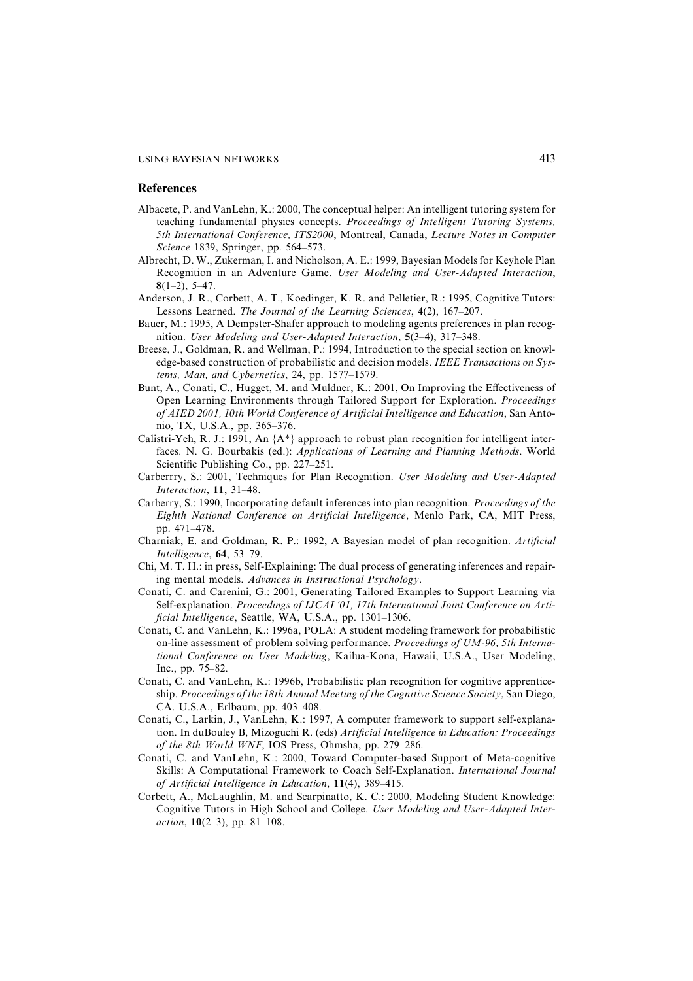### References

- Albacete, P. and VanLehn, K.: 2000, The conceptual helper: An intelligent tutoring system for teaching fundamental physics concepts. Proceedings of Intelligent Tutoring Systems, 5th International Conference, ITS2000, Montreal, Canada, Lecture Notes in Computer Science 1839, Springer, pp. 564-573.
- Albrecht, D. W., Zukerman, I. and Nicholson, A. E.: 1999, Bayesian Models for Keyhole Plan Recognition in an Adventure Game. User Modeling and User-Adapted Interaction,  $8(1-2), 5-47.$
- Anderson, J. R., Corbett, A. T., Koedinger, K. R. and Pelletier, R.: 1995, Cognitive Tutors: Lessons Learned. The Journal of the Learning Sciences, 4(2), 167-207.
- Bauer, M.: 1995, A Dempster-Shafer approach to modeling agents preferences in plan recognition. User Modeling and User-Adapted Interaction,  $5(3-4)$ , 317-348.
- Breese, J., Goldman, R. and Wellman, P.: 1994, Introduction to the special section on knowledge-based construction of probabilistic and decision models. IEEE Transactions on Systems, Man, and Cybernetics, 24, pp. 1577-1579.
- Bunt, A., Conati, C., Hugget, M. and Muldner, K.: 2001, On Improving the Effectiveness of Open Learning Environments through Tailored Support for Exploration. Proceedings of AIED 2001, 10th World Conference of Artificial Intelligence and Education, San Antonio, TX, U.S.A., pp. 365^376.
- Calistri-Yeh, R. J.: 1991, An  ${A^*}$  approach to robust plan recognition for intelligent interfaces. N. G. Bourbakis (ed.): Applications of Learning and Planning Methods. World Scientific Publishing Co., pp. 227-251.
- Carberrry, S.: 2001, Techniques for Plan Recognition. User Modeling and User-Adapted Interaction, 11, 31-48.
- Carberry, S.: 1990, Incorporating default inferences into plan recognition. Proceedings of the Eighth National Conference on Artificial Intelligence, Menlo Park, CA, MIT Press, pp. 471^478.
- Charniak, E. and Goldman, R. P.: 1992, A Bayesian model of plan recognition. Artificial Intelligence,  $64$ ,  $53-79$ .
- Chi, M. T. H.: in press, Self-Explaining: The dual process of generating inferences and repairing mental models. Advances in Instructional Psychology.
- Conati, C. and Carenini, G.: 2001, Generating Tailored Examples to Support Learning via Self-explanation. Proceedings of IJCAI '01, 17th International Joint Conference on Artificial Intelligence, Seattle, WA, U.S.A., pp. 1301-1306.
- Conati, C. and VanLehn, K.: 1996a, POLA: A student modeling framework for probabilistic on-line assessment of problem solving performance. Proceedings of UM-96, 5th International Conference on User Modeling, Kailua-Kona, Hawaii, U.S.A., User Modeling, Inc., pp. 75^82.
- Conati, C. and VanLehn, K.: 1996b, Probabilistic plan recognition for cognitive apprenticeship. Proceedings of the 18th Annual Meeting of the Cognitive Science Society, San Diego, CA. U.S.A., Erlbaum, pp. 403-408.
- Conati, C., Larkin, J., VanLehn, K.: 1997, A computer framework to support self-explanation. In duBouley B, Mizoguchi R. (eds) Artificial Intelligence in Education: Proceedings of the 8th World WNF, IOS Press, Ohmsha, pp. 279-286.
- Conati, C. and VanLehn, K.: 2000, Toward Computer-based Support of Meta-cognitive Skills: A Computational Framework to Coach Self-Explanation. International Journal of Artificial Intelligence in Education,  $11(4)$ , 389-415.
- Corbett, A., McLaughlin, M. and Scarpinatto, K. C.: 2000, Modeling Student Knowledge: Cognitive Tutors in High School and College. User Modeling and User-Adapted Interaction,  $10(2-3)$ , pp. 81-108.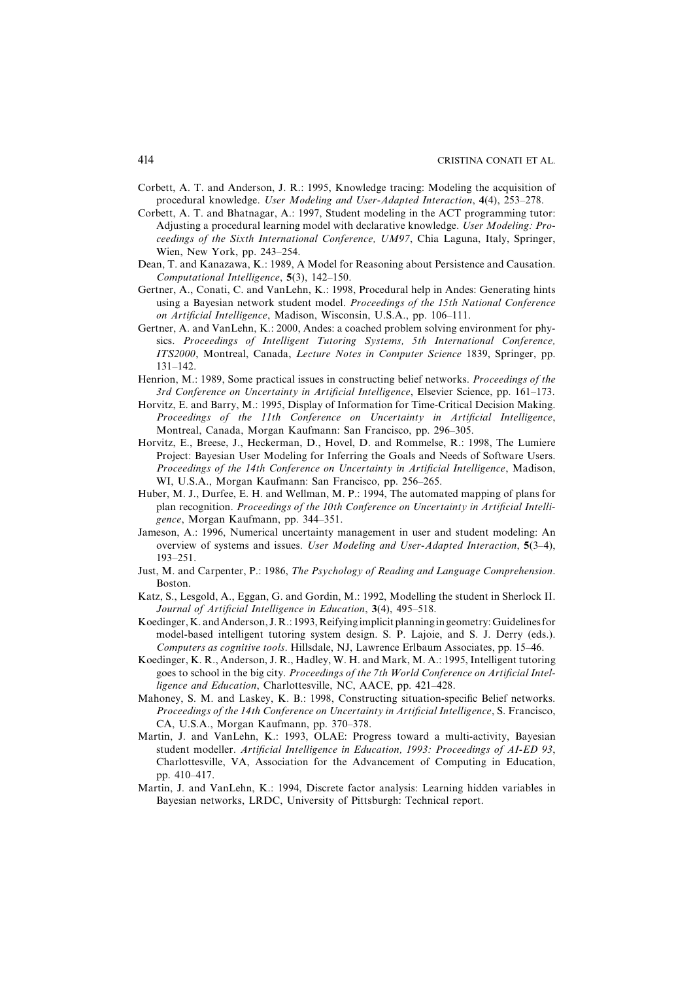- Corbett, A. T. and Anderson, J. R.: 1995, Knowledge tracing: Modeling the acquisition of procedural knowledge. User Modeling and User-Adapted Interaction, 4(4), 253-278.
- Corbett, A. T. and Bhatnagar, A.: 1997, Student modeling in the ACT programming tutor: Adjusting a procedural learning model with declarative knowledge. User Modeling: Proceedings of the Sixth International Conference, UM97, Chia Laguna, Italy, Springer, Wien, New York, pp. 243-254.
- Dean, T. and Kanazawa, K.: 1989, A Model for Reasoning about Persistence and Causation. Computational Intelligence,  $5(3)$ ,  $142-150$ .
- Gertner, A., Conati, C. and VanLehn, K.: 1998, Procedural help in Andes: Generating hints using a Bayesian network student model. Proceedings of the 15th National Conference on Artificial Intelligence, Madison, Wisconsin, U.S.A., pp. 106-111.
- Gertner, A. and VanLehn, K.: 2000, Andes: a coached problem solving environment for physics. Proceedings of Intelligent Tutoring Systems, 5th International Conference, ITS2000, Montreal, Canada, Lecture Notes in Computer Science 1839, Springer, pp. 131^142.
- Henrion, M.: 1989, Some practical issues in constructing belief networks. Proceedings of the  $3rd$  Conference on Uncertainty in Artificial Intelligence, Elsevier Science, pp. 161–173.
- Horvitz, E. and Barry, M.: 1995, Display of Information for Time-Critical Decision Making. Proceedings of the 11th Conference on Uncertainty in Artificial Intelligence, Montreal, Canada, Morgan Kaufmann: San Francisco, pp. 296-305.
- Horvitz, E., Breese, J., Heckerman, D., Hovel, D. and Rommelse, R.: 1998, The Lumiere Project: Bayesian User Modeling for Inferring the Goals and Needs of Software Users. Proceedings of the 14th Conference on Uncertainty in Artificial Intelligence, Madison, WI, U.S.A., Morgan Kaufmann: San Francisco, pp. 256-265.
- Huber, M. J., Durfee, E. H. and Wellman, M. P.: 1994, The automated mapping of plans for plan recognition. Proceedings of the 10th Conference on Uncertainty in Artificial Intelligence, Morgan Kaufmann, pp. 344^351.
- Jameson, A.: 1996, Numerical uncertainty management in user and student modeling: An overview of systems and issues. User Modeling and User-Adapted Interaction, 5(3–4), 193^251.
- Just, M. and Carpenter, P.: 1986, The Psychology of Reading and Language Comprehension. Boston.
- Katz, S., Lesgold, A., Eggan, G. and Gordin, M.: 1992, Modelling the student in Sherlock II. Journal of Artificial Intelligence in Education, 3(4), 495-518.
- Koedinger, K. and Anderson, J. R.: 1993, Reifying implicit planningin geometry: Guidelines for model-based intelligent tutoring system design. S. P. Lajoie, and S. J. Derry (eds.). Computers as cognitive tools. Hillsdale, NJ, Lawrence Erlbaum Associates, pp. 15-46.
- Koedinger, K. R., Anderson, J. R., Hadley, W. H. and Mark, M. A.: 1995, Intelligent tutoring goes to school in the big city. Proceedings of the 7th World Conference on Artificial Intelligence and Education, Charlottesville, NC, AACE, pp. 421-428.
- Mahoney, S. M. and Laskey, K. B.: 1998, Constructing situation-specific Belief networks. Proceedings of the 14th Conference on Uncertainty in Artificial Intelligence, S. Francisco, CA, U.S.A., Morgan Kaufmann, pp. 370-378.
- Martin, J. and VanLehn, K.: 1993, OLAE: Progress toward a multi-activity, Bayesian student modeller. Artificial Intelligence in Education, 1993: Proceedings of AI-ED 93, Charlottesville, VA, Association for the Advancement of Computing in Education, pp. 410^417.
- Martin, J. and VanLehn, K.: 1994, Discrete factor analysis: Learning hidden variables in Bayesian networks, LRDC, University of Pittsburgh: Technical report.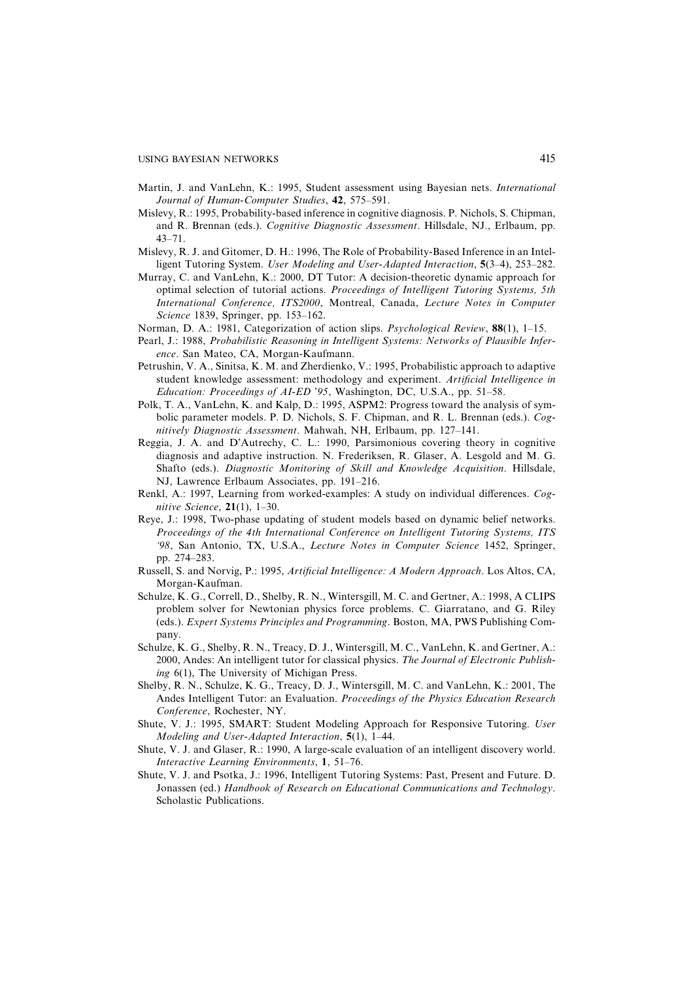- Martin, J. and VanLehn, K.: 1995, Student assessment using Bayesian nets. International Journal of Human-Computer Studies, 42, 575-591.
- Mislevy, R.: 1995, Probability-based inference in cognitive diagnosis. P. Nichols, S. Chipman, and R. Brennan (eds.). Cognitive Diagnostic Assessment. Hillsdale, NJ., Erlbaum, pp.  $43 - 71$ .
- Mislevy, R. J. and Gitomer, D. H.: 1996, The Role of Probability-Based Inference in an Intelligent Tutoring System. User Modeling and User-Adapted Interaction, 5(3-4), 253-282.
- Murray, C. and VanLehn, K.: 2000, DT Tutor: A decision-theoretic dynamic approach for optimal selection of tutorial actions. Proceedings of Intelligent Tutoring Systems, 5th International Conference, ITS2000, Montreal, Canada, Lecture Notes in Computer Science 1839, Springer, pp. 153-162.
- Norman, D. A.: 1981, Categorization of action slips. Psychological Review, 88(1), 1-15.
- Pearl, J.: 1988, Probabilistic Reasoning in Intelligent Systems: Networks of Plausible Inference. San Mateo, CA, Morgan-Kaufmann.
- Petrushin, V. A., Sinitsa, K. M. and Zherdienko, V.: 1995, Probabilistic approach to adaptive student knowledge assessment: methodology and experiment. Artificial Intelligence in Education: Proceedings of AI-ED '95, Washington, DC, U.S.A., pp. 51–58.
- Polk, T. A., VanLehn, K. and Kalp, D.: 1995, ASPM2: Progress toward the analysis of symbolic parameter models. P. D. Nichols, S. F. Chipman, and R. L. Brennan (eds.). Cognitively Diagnostic Assessment. Mahwah, NH, Erlbaum, pp. 127^141.
- Reggia, J. A. and D'Autrechy, C. L.: 1990, Parsimonious covering theory in cognitive diagnosis and adaptive instruction. N. Frederiksen, R. Glaser, A. Lesgold and M. G. Shafto (eds.). Diagnostic Monitoring of Skill and Knowledge Acquisition. Hillsdale, NJ, Lawrence Erlbaum Associates, pp. 191-216.
- Renkl, A.: 1997, Learning from worked-examples: A study on individual differences. Cognitive Science,  $21(1)$ ,  $1-30$ .
- Reye, J.: 1998, Two-phase updating of student models based on dynamic belief networks. Proceedings of the 4th International Conference on Intelligent Tutoring Systems, ITS '98, San Antonio, TX, U.S.A., Lecture Notes in Computer Science 1452, Springer, pp. 274-283.
- Russell, S. and Norvig, P.: 1995, Artificial Intelligence: A Modern Approach. Los Altos, CA, Morgan-Kaufman.
- Schulze, K. G., Correll, D., Shelby, R. N., Wintersgill, M. C. and Gertner, A.: 1998, A CLIPS problem solver for Newtonian physics force problems. C. Giarratano, and G. Riley (eds.). Expert Systems Principles and Programming. Boston, MA, PWS Publishing Company.
- Schulze, K. G., Shelby, R. N., Treacy, D. J., Wintersgill, M. C., VanLehn, K. and Gertner, A.: 2000, Andes: An intelligent tutor for classical physics. The Journal of Electronic Publishing 6(1), The University of Michigan Press.
- Shelby, R. N., Schulze, K. G., Treacy, D. J., Wintersgill, M. C. and VanLehn, K.: 2001, The Andes Intelligent Tutor: an Evaluation. Proceedings of the Physics Education Research Conference, Rochester, NY.
- Shute, V. J.: 1995, SMART: Student Modeling Approach for Responsive Tutoring. User Modeling and User-Adapted Interaction,  $5(1)$ , 1-44.
- Shute, V. J. and Glaser, R.: 1990, A large-scale evaluation of an intelligent discovery world. Interactive Learning Environments, 1, 51-76.
- Shute, V. J. and Psotka, J.: 1996, Intelligent Tutoring Systems: Past, Present and Future. D. Jonassen (ed.) Handbook of Research on Educational Communications and Technology. Scholastic Publications.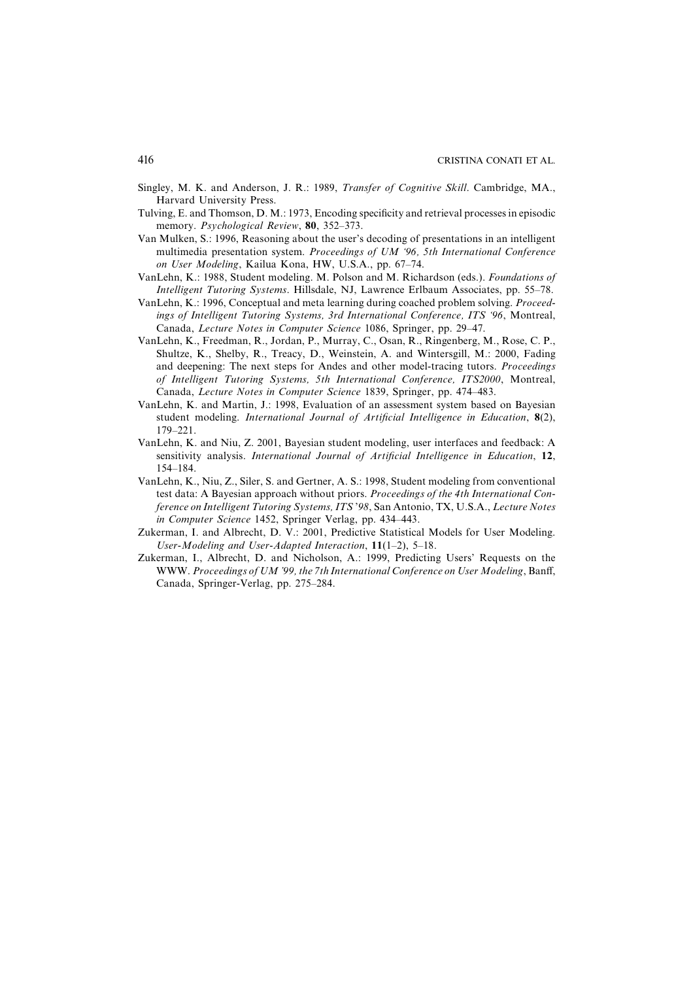- Singley, M. K. and Anderson, J. R.: 1989, Transfer of Cognitive Skill. Cambridge, MA., Harvard University Press.
- Tulving, E. and Thomson, D. M.: 1973, Encoding specificity and retrieval processes in episodic memory. *Psychological Review*, 80, 352-373.
- Van Mulken, S.: 1996, Reasoning about the user's decoding of presentations in an intelligent multimedia presentation system. Proceedings of UM '96, 5th International Conference on User Modeling, Kailua Kona, HW, U.S.A., pp. 67^74.
- VanLehn, K.: 1988, Student modeling. M. Polson and M. Richardson (eds.). Foundations of Intelligent Tutoring Systems. Hillsdale, NJ, Lawrence Erlbaum Associates, pp. 55^78.
- VanLehn, K.: 1996, Conceptual and meta learning during coached problem solving. Proceedings of Intelligent Tutoring Systems, 3rd International Conference, ITS '96, Montreal, Canada, Lecture Notes in Computer Science 1086, Springer, pp. 29-47.
- VanLehn, K., Freedman, R., Jordan, P., Murray, C., Osan, R., Ringenberg, M., Rose, C. P., Shultze, K., Shelby, R., Treacy, D., Weinstein, A. and Wintersgill, M.: 2000, Fading and deepening: The next steps for Andes and other model-tracing tutors. *Proceedings* of Intelligent Tutoring Systems, 5th International Conference, ITS2000, Montreal, Canada, Lecture Notes in Computer Science 1839, Springer, pp. 474^483.
- VanLehn, K. and Martin, J.: 1998, Evaluation of an assessment system based on Bayesian student modeling. International Journal of Artificial Intelligence in Education,  $\mathbf{8}(2)$ ,  $179 - 221$ .
- VanLehn, K. and Niu, Z. 2001, Bayesian student modeling, userinterfaces and feedback: A sensitivity analysis. International Journal of Artificial Intelligence in Education, 12, 154^184.
- VanLehn, K., Niu, Z., Siler, S. and Gertner, A. S.: 1998, Student modeling from conventional test data: A Bayesian approach without priors. Proceedings of the 4th International Conference on Intelligent Tutoring Systems, ITS '98, San Antonio, TX, U.S.A., Lecture Notes in Computer Science 1452, Springer Verlag, pp. 434-443.
- Zukerman, I. and Albrecht, D. V.: 2001, Predictive Statistical Models for User Modeling. User-Modeling and User-Adapted Interaction,  $11(1-2)$ , 5-18.
- Zukerman, I., Albrecht, D. and Nicholson, A.: 1999, Predicting Users' Requests on the WWW. Proceedings of UM '99, the 7th International Conference on User Modeling, Banff, Canada, Springer-Verlag, pp. 275-284.